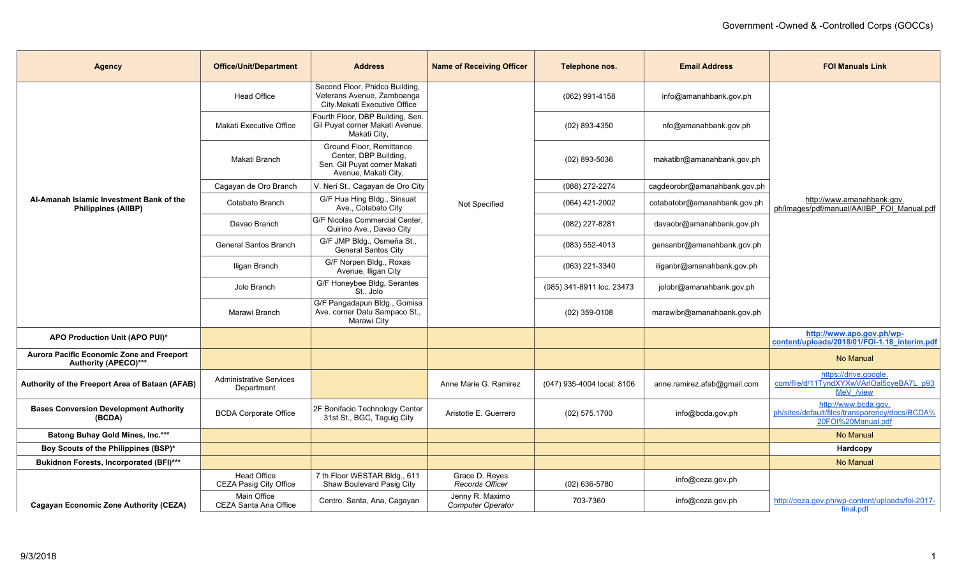| <b>Agency</b>                                                            | <b>Office/Unit/Department</b>                | <b>Address</b>                                                                                            | <b>Name of Receiving Officer</b>            | Telephone nos.             | <b>Email Address</b>         | <b>FOI Manuals Link</b>                                                                      |
|--------------------------------------------------------------------------|----------------------------------------------|-----------------------------------------------------------------------------------------------------------|---------------------------------------------|----------------------------|------------------------------|----------------------------------------------------------------------------------------------|
|                                                                          | <b>Head Office</b>                           | Second Floor, Phidco Building,<br>Veterans Avenue, Zamboanga<br>City.Makati Executive Office              |                                             | $(062)$ 991-4158           | info@amanahbank.gov.ph       |                                                                                              |
|                                                                          | Makati Executive Office                      | Fourth Floor, DBP Building, Sen.<br>Gil Puyat corner Makati Avenue,<br>Makati City,                       | Not Specified                               | $(02)$ 893-4350            | nfo@amanahbank.gov.ph        |                                                                                              |
|                                                                          | Makati Branch                                | Ground Floor, Remittance<br>Center, DBP Building,<br>Sen. Gil Puyat corner Makati<br>Avenue, Makati City, |                                             | $(02)$ 893-5036            | makatibr@amanahbank.gov.ph   |                                                                                              |
|                                                                          | Cagayan de Oro Branch                        | V. Neri St., Cagayan de Oro City                                                                          |                                             | (088) 272-2274             | cagdeorobr@amanahbank.gov.ph |                                                                                              |
| Al-Amanah Islamic Investment Bank of the<br><b>Philippines (AlIBP)</b>   | Cotabato Branch                              | G/F Hua Hing Bldg., Sinsuat<br>Ave., Cotabato City                                                        |                                             | $(064)$ 421-2002           | cotabatobr@amanahbank.gov.ph | http://www.amanahbank.gov.<br>ph/images/pdf/manual/AAIIBP FOI Manual.pdf                     |
|                                                                          | Davao Branch                                 | G/F Nicolas Commercial Center.<br>Quirino Ave., Davao City                                                |                                             | (082) 227-8281             | davaobr@amanahbank.gov.ph    |                                                                                              |
|                                                                          | <b>General Santos Branch</b>                 | G/F JMP Bldg., Osmeña St.,<br><b>General Santos City</b>                                                  |                                             | $(083) 552 - 4013$         | gensanbr@amanahbank.gov.ph   |                                                                                              |
|                                                                          | Iligan Branch                                | G/F Norpen Bldg., Roxas<br>Avenue, Iligan City                                                            |                                             | (063) 221-3340             | iliganbr@amanahbank.gov.ph   |                                                                                              |
|                                                                          | Jolo Branch                                  | G/F Honeybee Bldg, Serantes<br>St., Jolo                                                                  |                                             | (085) 341-8911 loc. 23473  | jolobr@amanahbank.gov.ph     |                                                                                              |
|                                                                          | Marawi Branch                                | G/F Pangadapun Bldg., Gomisa<br>Ave. corner Datu Sampaco St.,<br>Marawi City                              |                                             | $(02)$ 359-0108            | marawibr@amanahbank.gov.ph   |                                                                                              |
| APO Production Unit (APO PUI)*                                           |                                              |                                                                                                           |                                             |                            |                              | http://www.apo.gov.ph/wp-<br>content/uploads/2018/01/FOI-1.18 interim.pdf                    |
| <b>Aurora Pacific Economic Zone and Freeport</b><br>Authority (APECO)*** |                                              |                                                                                                           |                                             |                            |                              | No Manual                                                                                    |
| Authority of the Freeport Area of Bataan (AFAB)                          | <b>Administrative Services</b><br>Department |                                                                                                           | Anne Marie G. Ramirez                       | (047) 935-4004 local: 8106 | anne.ramirez.afab@gmail.com  | https://drive.google.<br>com/file/d/11TyndXYXwVArIOal5cyeBA7L_p93<br>MeV /view               |
| <b>Bases Conversion Development Authority</b><br>(BCDA)                  | <b>BCDA Corporate Office</b>                 | 2F Bonifacio Technology Center<br>31st St., BGC, Taguig City                                              | Aristotle E. Guerrero                       | $(02)$ 575.1700            | info@bcda.gov.ph             | http://www.bcda.gov.<br>ph/sites/default/files/transparency/docs/BCDA%<br>20FOI%20Manual.pdf |
| Batong Buhay Gold Mines, Inc.***                                         |                                              |                                                                                                           |                                             |                            |                              | No Manual                                                                                    |
| Boy Scouts of the Philippines (BSP)*                                     |                                              |                                                                                                           |                                             |                            |                              | Hardcopy                                                                                     |
| Bukidnon Forests, Incorporated (BFI)***                                  |                                              |                                                                                                           |                                             |                            |                              | No Manual                                                                                    |
|                                                                          | Head Office<br>CEZA Pasig City Office        | 7 th Floor WESTAR Bldg., 611<br>Shaw Boulevard Pasig City                                                 | Grace D. Reyes<br>Records Officer           | $(02)$ 636-5780            | info@ceza.gov.ph             |                                                                                              |
| <b>Cagayan Economic Zone Authority (CEZA)</b>                            | Main Office<br>CEZA Santa Ana Office         | Centro. Santa, Ana, Cagayan                                                                               | Jenny R. Maximo<br><b>Computer Operator</b> | 703-7360                   | info@ceza.gov.ph             | http://ceza.gov.ph/wp-content/uploads/foi-2017-<br>final.pdf                                 |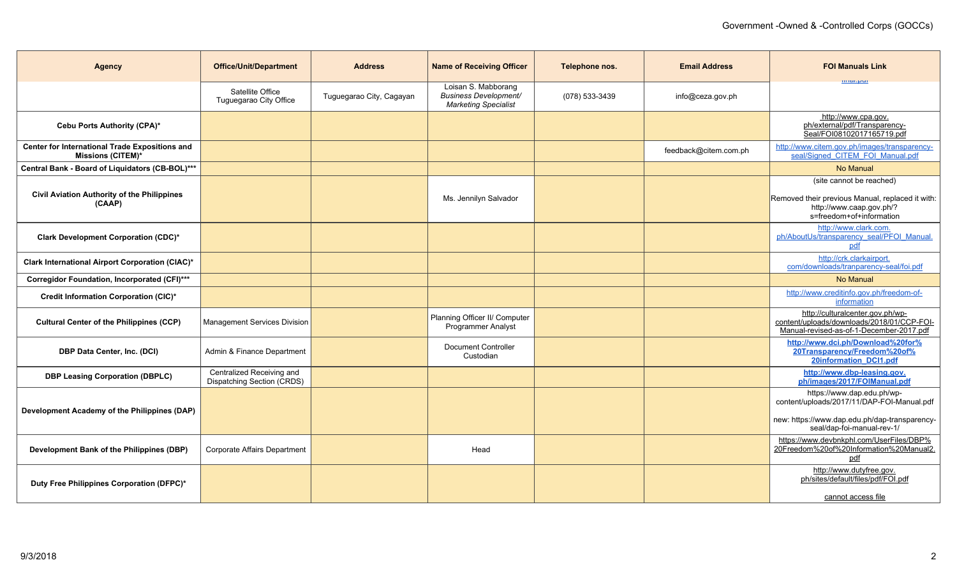| <b>Agency</b>                                                              | <b>Office/Unit/Department</b>                           | <b>Address</b>           | <b>Name of Receiving Officer</b>                                                   | Telephone nos. | <b>Email Address</b>  | <b>FOI Manuals Link</b>                                                                                                                                 |
|----------------------------------------------------------------------------|---------------------------------------------------------|--------------------------|------------------------------------------------------------------------------------|----------------|-----------------------|---------------------------------------------------------------------------------------------------------------------------------------------------------|
|                                                                            | Satellite Office<br>Tuguegarao City Office              | Tuguegarao City, Cagayan | Loisan S. Mabborang<br><b>Business Development/</b><br><b>Marketing Specialist</b> | (078) 533-3439 | info@ceza.gov.ph      | <b>ШКИ.МИ</b>                                                                                                                                           |
| Cebu Ports Authority (CPA)*                                                |                                                         |                          |                                                                                    |                |                       | http://www.cpa.gov.<br>ph/external/pdf/Transparency-<br>Seal/FOI08102017165719.pdf                                                                      |
| Center for International Trade Expositions and<br><b>Missions (CITEM)*</b> |                                                         |                          |                                                                                    |                | feedback@citem.com.ph | http://www.citem.gov.ph/images/transparency-<br>seal/Signed CITEM FOI Manual.pdf                                                                        |
| Central Bank - Board of Liquidators (CB-BOL)***                            |                                                         |                          |                                                                                    |                |                       | <b>No Manual</b>                                                                                                                                        |
| <b>Civil Aviation Authority of the Philippines</b><br>(CAAP)               |                                                         |                          | Ms. Jennilyn Salvador                                                              |                |                       | (site cannot be reached)<br>Removed their previous Manual, replaced it with:<br>http://www.caap.gov.ph/?<br>s=freedom+of+information                    |
| Clark Development Corporation (CDC)*                                       |                                                         |                          |                                                                                    |                |                       | http://www.clark.com.<br>ph/AboutUs/transparency seal/PFOI Manual<br>pdf                                                                                |
| Clark International Airport Corporation (CIAC)*                            |                                                         |                          |                                                                                    |                |                       | http://crk.clarkairport.<br>com/downloads/tranparency-seal/foi.pdf                                                                                      |
| Corregidor Foundation, Incorporated (CFI)***                               |                                                         |                          |                                                                                    |                |                       | <b>No Manual</b>                                                                                                                                        |
| Credit Information Corporation (CIC)*                                      |                                                         |                          |                                                                                    |                |                       | http://www.creditinfo.gov.ph/freedom-of-<br>information                                                                                                 |
| <b>Cultural Center of the Philippines (CCP)</b>                            | Management Services Division                            |                          | Planning Officer II/ Computer<br><b>Programmer Analyst</b>                         |                |                       | http://culturalcenter.gov.ph/wp-<br>content/uploads/downloads/2018/01/CCP-FOI-<br>Manual-revised-as-of-1-December-2017.pdf                              |
| <b>DBP Data Center, Inc. (DCI)</b>                                         | Admin & Finance Department                              |                          | <b>Document Controller</b><br>Custodian                                            |                |                       | http://www.dci.ph/Download%20for%<br>20Transparency/Freedom%20of%<br>20information DCI1.pdf                                                             |
| <b>DBP Leasing Corporation (DBPLC)</b>                                     | Centralized Receiving and<br>Dispatching Section (CRDS) |                          |                                                                                    |                |                       | http://www.dbp-leasing.gov.<br>ph/images/2017/FOIManual.pdf                                                                                             |
| Development Academy of the Philippines (DAP)                               |                                                         |                          |                                                                                    |                |                       | https://www.dap.edu.ph/wp-<br>content/uploads/2017/11/DAP-FOI-Manual.pdf<br>new: https://www.dap.edu.ph/dap-transparency-<br>seal/dap-foi-manual-rev-1/ |
| Development Bank of the Philippines (DBP)                                  | Corporate Affairs Department                            |                          | Head                                                                               |                |                       | https://www.devbnkphl.com/UserFiles/DBP%<br>20Freedom%20of%20Information%20Manual2.<br>pdf                                                              |
| Duty Free Philippines Corporation (DFPC)*                                  |                                                         |                          |                                                                                    |                |                       | http://www.dutyfree.gov.<br>ph/sites/default/files/pdf/FOI.pdf<br>cannot access file                                                                    |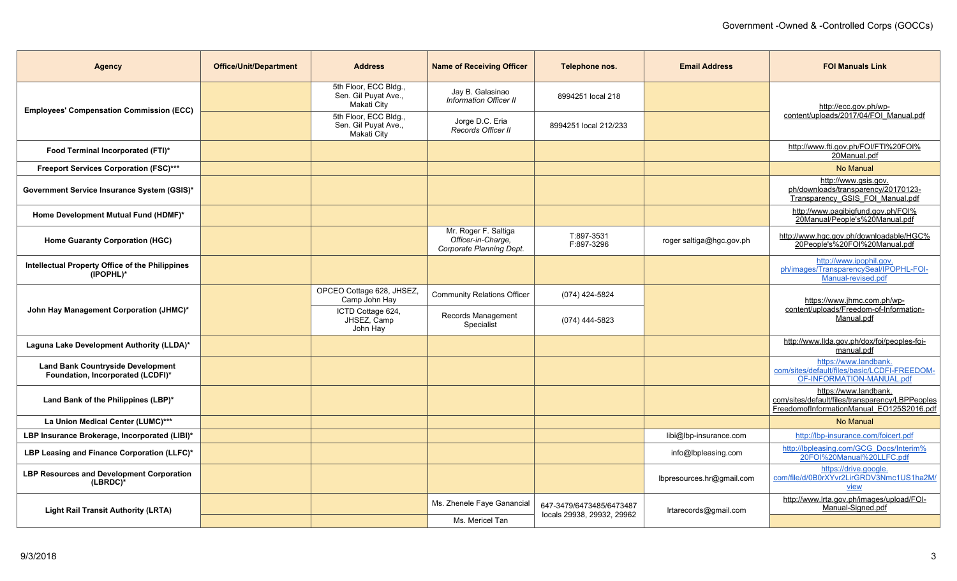| <b>Agency</b>                                                                 | <b>Office/Unit/Department</b> | <b>Address</b>                                               | <b>Name of Receiving Officer</b>                                       | Telephone nos.                                         | <b>Email Address</b>      | <b>FOI Manuals Link</b>                                                                                               |
|-------------------------------------------------------------------------------|-------------------------------|--------------------------------------------------------------|------------------------------------------------------------------------|--------------------------------------------------------|---------------------------|-----------------------------------------------------------------------------------------------------------------------|
|                                                                               |                               | 5th Floor, ECC Bldg.,<br>Sen. Gil Puyat Ave.,<br>Makati City | Jay B. Galasinao<br>Information Officer II                             | 8994251 local 218                                      |                           | http://ecc.gov.ph/wp-                                                                                                 |
| <b>Employees' Compensation Commission (ECC)</b>                               |                               | 5th Floor, ECC Bldg.,<br>Sen. Gil Puyat Ave.,<br>Makati City | Jorge D.C. Eria<br>Records Officer II                                  | 8994251 local 212/233                                  |                           | content/uploads/2017/04/FOI_Manual.pdf                                                                                |
| Food Terminal Incorporated (FTI)*                                             |                               |                                                              |                                                                        |                                                        |                           | http://www.fti.gov.ph/FOI/FTI%20FOI%<br>20Manual.pdf                                                                  |
| Freeport Services Corporation (FSC)***                                        |                               |                                                              |                                                                        |                                                        |                           | No Manual                                                                                                             |
| Government Service Insurance System (GSIS)*                                   |                               |                                                              |                                                                        |                                                        |                           | http://www.gsis.gov.<br>ph/downloads/transparency/20170123-<br>Transparency GSIS FOI Manual.pdf                       |
| Home Development Mutual Fund (HDMF)*                                          |                               |                                                              |                                                                        |                                                        |                           | http://www.pagibigfund.gov.ph/FOI%<br>20Manual/People's%20Manual.pdf                                                  |
| <b>Home Guaranty Corporation (HGC)</b>                                        |                               |                                                              | Mr. Roger F. Saltiga<br>Officer-in-Charge.<br>Corporate Planning Dept. | T:897-3531<br>F:897-3296                               | roger saltiga@hgc.gov.ph  | http://www.hgc.gov.ph/downloadable/HGC%<br>20People's%20FOI%20Manual.pdf                                              |
| Intellectual Property Office of the Philippines<br>(IPOPHL)*                  |                               |                                                              |                                                                        |                                                        |                           | http://www.ipophil.gov.<br>ph/images/TransparencySeal/IPOPHL-FOI-<br>Manual-revised.pdf                               |
|                                                                               |                               | OPCEO Cottage 628, JHSEZ,<br>Camp John Hay                   | <b>Community Relations Officer</b>                                     | (074) 424-5824                                         |                           | https://www.jhmc.com.ph/wp-                                                                                           |
| John Hay Management Corporation (JHMC)*                                       |                               | ICTD Cottage 624,<br>JHSEZ, Camp<br>John Hay                 | Records Management<br>Specialist                                       | (074) 444-5823                                         |                           | content/uploads/Freedom-of-Information-<br>Manual.pdf                                                                 |
| Laguna Lake Development Authority (LLDA)*                                     |                               |                                                              |                                                                        |                                                        |                           | http://www.llda.gov.ph/dox/foi/peoples-foi-<br>manual.pdf                                                             |
| <b>Land Bank Countryside Development</b><br>Foundation, Incorporated (LCDFI)* |                               |                                                              |                                                                        |                                                        |                           | https://www.landbank.<br>com/sites/default/files/basic/LCDFI-FREEDOM-<br>OF-INFORMATION-MANUAL.pdf                    |
| Land Bank of the Philippines (LBP)*                                           |                               |                                                              |                                                                        |                                                        |                           | https://www.landbank.<br>com/sites/default/files/transparency/LBPPeoples<br>FreedomofInformationManual EO125S2016.pdf |
| La Union Medical Center (LUMC)***                                             |                               |                                                              |                                                                        |                                                        |                           | No Manual                                                                                                             |
| LBP Insurance Brokerage, Incorporated (LIBI)*                                 |                               |                                                              |                                                                        |                                                        | libi@lbp-insurance.com    | http://lbp-insurance.com/foicert.pdf                                                                                  |
| LBP Leasing and Finance Corporation (LLFC)*                                   |                               |                                                              |                                                                        |                                                        | info@lbpleasing.com       | http://lbpleasing.com/GCG_Docs/Interim%<br>20FOI%20Manual%20LLFC.pdf                                                  |
| <b>LBP Resources and Development Corporation</b><br>(LBRDC)*                  |                               |                                                              |                                                                        |                                                        | lbpresources.hr@gmail.com | https://drive.google.<br>com/file/d/0B0rXYvr2LirGRDV3Nmc1US1ha2M/<br>view                                             |
| <b>Light Rail Transit Authority (LRTA)</b>                                    |                               |                                                              | Ms. Zhenele Faye Ganancial                                             | 647-3479/6473485/6473487<br>locals 29938, 29932, 29962 | Irtarecords@gmail.com     | http://www.lrta.gov.ph/images/upload/FOI-<br>Manual-Signed.pdf                                                        |
|                                                                               |                               |                                                              | Ms. Mericel Tan                                                        |                                                        |                           |                                                                                                                       |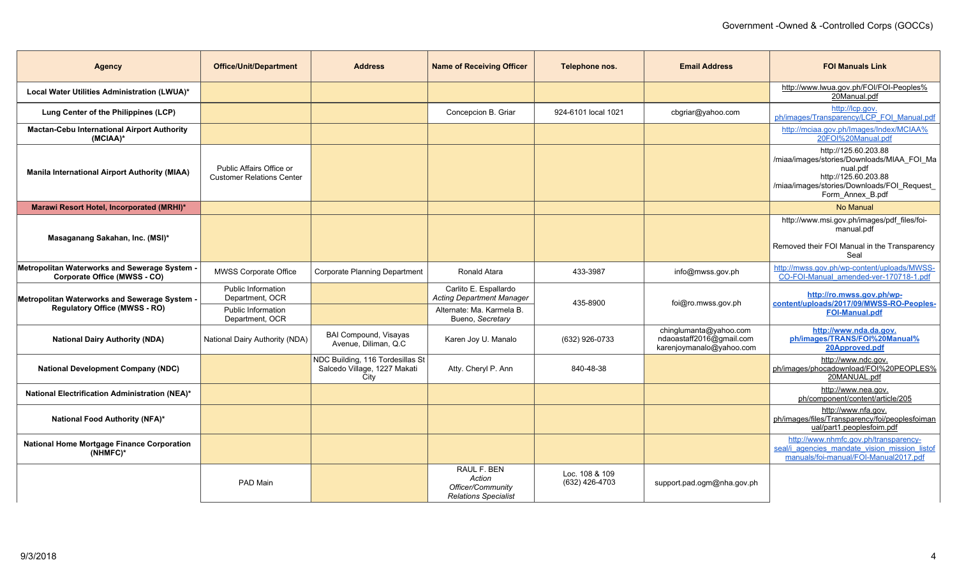| <b>Agency</b>                                                                         | <b>Office/Unit/Department</b>                                                         | <b>Address</b>                                                           | <b>Name of Receiving Officer</b>                                                                           | Telephone nos.                   | <b>Email Address</b>                                                           | <b>FOI Manuals Link</b>                                                                                                                                                  |
|---------------------------------------------------------------------------------------|---------------------------------------------------------------------------------------|--------------------------------------------------------------------------|------------------------------------------------------------------------------------------------------------|----------------------------------|--------------------------------------------------------------------------------|--------------------------------------------------------------------------------------------------------------------------------------------------------------------------|
| Local Water Utilities Administration (LWUA)*                                          |                                                                                       |                                                                          |                                                                                                            |                                  |                                                                                | http://www.lwua.gov.ph/FOI/FOI-Peoples%<br>20Manual.pdf                                                                                                                  |
| Lung Center of the Philippines (LCP)                                                  |                                                                                       |                                                                          | Concepcion B. Griar                                                                                        | 924-6101 local 1021              | cbgriar@yahoo.com                                                              | http://lcp.gov.<br>ph/images/Transparency/LCP_FOI_Manual.pdf                                                                                                             |
| <b>Mactan-Cebu International Airport Authority</b><br>$(MCIAA)^*$                     |                                                                                       |                                                                          |                                                                                                            |                                  |                                                                                | http://mciaa.gov.ph/Images/Index/MCIAA%<br>20FOI%20Manual.pdf                                                                                                            |
| <b>Manila International Airport Authority (MIAA)</b>                                  | Public Affairs Office or<br><b>Customer Relations Center</b>                          |                                                                          |                                                                                                            |                                  |                                                                                | http://125.60.203.88<br>/miaa/images/stories/Downloads/MIAA FOI Ma<br>nual.pdf<br>http://125.60.203.88<br>/miaa/images/stories/Downloads/FOI Request<br>Form_Annex_B.pdf |
| Marawi Resort Hotel, Incorporated (MRHI)*                                             |                                                                                       |                                                                          |                                                                                                            |                                  |                                                                                | <b>No Manual</b>                                                                                                                                                         |
| Masaganang Sakahan, Inc. (MSI)*                                                       |                                                                                       |                                                                          |                                                                                                            |                                  |                                                                                | http://www.msi.gov.ph/images/pdf_files/foi-<br>manual.pdf<br>Removed their FOI Manual in the Transparency<br>Seal                                                        |
| Metropolitan Waterworks and Sewerage System -<br>Corporate Office (MWSS - CO)         | MWSS Corporate Office                                                                 | <b>Corporate Planning Department</b>                                     | Ronald Atara                                                                                               | 433-3987                         | info@mwss.gov.ph                                                               | http://mwss.gov.ph/wp-content/uploads/MWSS-<br>CO-FOI-Manual amended-ver-170718-1.pdf                                                                                    |
| Metropolitan Waterworks and Sewerage System -<br><b>Regulatory Office (MWSS - RO)</b> | <b>Public Information</b><br>Department, OCR<br>Public Information<br>Department, OCR |                                                                          | Carlito E. Espallardo<br><b>Acting Department Manager</b><br>Alternate: Ma. Karmela B.<br>Bueno, Secretary | 435-8900                         | foi@ro.mwss.gov.ph                                                             | http://ro.mwss.gov.ph/wp-<br>content/uploads/2017/09/MWSS-RO-Peoples-<br><b>FOI-Manual.pdf</b>                                                                           |
| <b>National Dairy Authority (NDA)</b>                                                 | National Dairy Authority (NDA)                                                        | <b>BAI Compound, Visayas</b><br>Avenue, Diliman, Q.C.                    | Karen Joy U. Manalo                                                                                        | (632) 926-0733                   | chinglumanta@yahoo.com<br>ndaoastaff2016@gmail.com<br>karenjoymanalo@yahoo.com | http://www.nda.da.gov.<br>ph/images/TRANS/FOI%20Manual%<br>20Approved.pdf                                                                                                |
| <b>National Development Company (NDC)</b>                                             |                                                                                       | NDC Building, 116 Tordesillas St<br>Salcedo Village, 1227 Makati<br>City | Atty. Cheryl P. Ann                                                                                        | 840-48-38                        |                                                                                | http://www.ndc.gov.<br>ph/images/phocadownload/FOI%20PEOPLES%<br>20MANUAL.pdf                                                                                            |
| National Electrification Administration (NEA)*                                        |                                                                                       |                                                                          |                                                                                                            |                                  |                                                                                | http://www.nea.gov.<br>ph/component/content/article/205                                                                                                                  |
| National Food Authority (NFA)*                                                        |                                                                                       |                                                                          |                                                                                                            |                                  |                                                                                | http://www.nfa.gov.<br>ph/images/files/Transparency/foi/peoplesfoiman<br>ual/part1.peoplesfoim.pdf                                                                       |
| <b>National Home Mortgage Finance Corporation</b><br>(NHMFC)*                         |                                                                                       |                                                                          |                                                                                                            |                                  |                                                                                | http://www.nhmfc.gov.ph/transparency-<br>seal/i agencies mandate vision mission listo<br>manuals/foi-manual/FOI-Manual2017.pdf                                           |
|                                                                                       | PAD Main                                                                              |                                                                          | RAUL F. BEN<br>Action<br>Officer/Community<br><b>Relations Specialist</b>                                  | Loc. 108 & 109<br>(632) 426-4703 | support.pad.ogm@nha.gov.ph                                                     |                                                                                                                                                                          |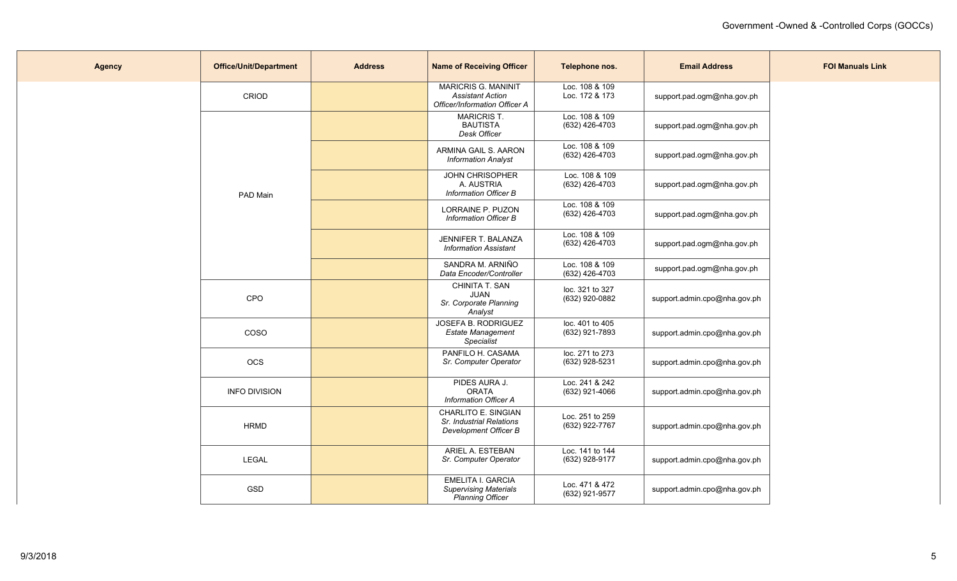| <b>Agency</b> | <b>Office/Unit/Department</b> | <b>Address</b> | <b>Name of Receiving Officer</b>                                                       | Telephone nos.                    | <b>Email Address</b>         | <b>FOI Manuals Link</b> |
|---------------|-------------------------------|----------------|----------------------------------------------------------------------------------------|-----------------------------------|------------------------------|-------------------------|
|               | CRIOD                         |                | <b>MARICRIS G. MANINIT</b><br><b>Assistant Action</b><br>Officer/Information Officer A | Loc. 108 & 109<br>Loc. 172 & 173  | support.pad.ogm@nha.gov.ph   |                         |
|               |                               |                | <b>MARICRIST.</b><br><b>BAUTISTA</b><br>Desk Officer                                   | Loc. 108 & 109<br>(632) 426-4703  | support.pad.ogm@nha.gov.ph   |                         |
|               |                               |                | ARMINA GAIL S. AARON<br><b>Information Analyst</b>                                     | Loc. 108 & 109<br>(632) 426-4703  | support.pad.ogm@nha.gov.ph   |                         |
|               | PAD Main                      |                | JOHN CHRISOPHER<br>A. AUSTRIA<br>Information Officer B                                 | Loc. 108 & 109<br>(632) 426-4703  | support.pad.ogm@nha.gov.ph   |                         |
|               |                               |                | LORRAINE P. PUZON<br><b>Information Officer B</b>                                      | Loc. 108 & 109<br>(632) 426-4703  | support.pad.ogm@nha.gov.ph   |                         |
|               |                               |                | JENNIFER T. BALANZA<br><b>Information Assistant</b>                                    | Loc. 108 & 109<br>(632) 426-4703  | support.pad.ogm@nha.gov.ph   |                         |
|               |                               |                | SANDRA M. ARNIÑO<br>Data Encoder/Controller                                            | Loc. 108 & 109<br>(632) 426-4703  | support.pad.ogm@nha.gov.ph   |                         |
|               | CPO                           |                | CHINITA T. SAN<br><b>JUAN</b><br>Sr. Corporate Planning<br>Analyst                     | loc. 321 to 327<br>(632) 920-0882 | support.admin.cpo@nha.gov.ph |                         |
|               | COSO                          |                | <b>JOSEFA B. RODRIGUEZ</b><br><b>Estate Management</b><br>Specialist                   | loc. 401 to 405<br>(632) 921-7893 | support.admin.cpo@nha.gov.ph |                         |
|               | OCS                           |                | PANFILO H. CASAMA<br>Sr. Computer Operator                                             | loc. 271 to 273<br>(632) 928-5231 | support.admin.cpo@nha.gov.ph |                         |
|               | <b>INFO DIVISION</b>          |                | PIDES AURA J.<br><b>ORATA</b><br><b>Information Officer A</b>                          | Loc. 241 & 242<br>(632) 921-4066  | support.admin.cpo@nha.gov.ph |                         |
|               | <b>HRMD</b>                   |                | CHARLITO E. SINGIAN<br>Sr. Industrial Relations<br>Development Officer B               | Loc. 251 to 259<br>(632) 922-7767 | support.admin.cpo@nha.gov.ph |                         |
|               | LEGAL                         |                | ARIEL A. ESTEBAN<br>Sr. Computer Operator                                              | Loc. 141 to 144<br>(632) 928-9177 | support.admin.cpo@nha.gov.ph |                         |
|               | GSD                           |                | <b>EMELITA I. GARCIA</b><br><b>Supervising Materials</b><br><b>Planning Officer</b>    | Loc. 471 & 472<br>(632) 921-9577  | support.admin.cpo@nha.gov.ph |                         |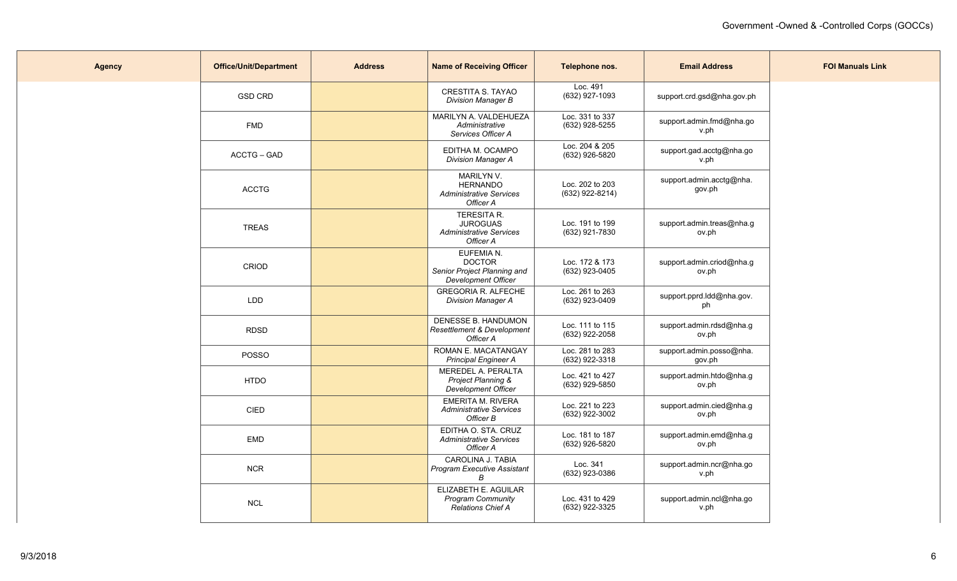| <b>Agency</b> | <b>Office/Unit/Department</b> | <b>Address</b> | <b>Name of Receiving Officer</b>                                                  | Telephone nos.                       | <b>Email Address</b>               | <b>FOI Manuals Link</b> |
|---------------|-------------------------------|----------------|-----------------------------------------------------------------------------------|--------------------------------------|------------------------------------|-------------------------|
|               | <b>GSD CRD</b>                |                | <b>CRESTITA S. TAYAO</b><br><b>Division Manager B</b>                             | Loc. 491<br>(632) 927-1093           | support.crd.gsd@nha.gov.ph         |                         |
|               | <b>FMD</b>                    |                | MARILYN A. VALDEHUEZA<br>Administrative<br>Services Officer A                     | Loc. 331 to 337<br>(632) 928-5255    | support.admin.fmd@nha.go<br>v.ph   |                         |
|               | <b>ACCTG - GAD</b>            |                | EDITHA M. OCAMPO<br><b>Division Manager A</b>                                     | Loc. 204 & 205<br>(632) 926-5820     | support.gad.acctg@nha.go<br>v.ph   |                         |
|               | <b>ACCTG</b>                  |                | MARILYN V.<br><b>HERNANDO</b><br><b>Administrative Services</b><br>Officer A      | Loc. 202 to 203<br>$(632)$ 922-8214) | support.admin.acctg@nha.<br>gov.ph |                         |
|               | <b>TREAS</b>                  |                | TERESITA R.<br><b>JUROGUAS</b><br><b>Administrative Services</b><br>Officer A     | Loc. 191 to 199<br>(632) 921-7830    | support.admin.treas@nha.g<br>ov.ph |                         |
|               | CRIOD                         |                | EUFEMIA N.<br><b>DOCTOR</b><br>Senior Project Planning and<br>Development Officer | Loc. 172 & 173<br>(632) 923-0405     | support.admin.criod@nha.g<br>ov.ph |                         |
|               | <b>LDD</b>                    |                | <b>GREGORIA R. ALFECHE</b><br><b>Division Manager A</b>                           | Loc. 261 to 263<br>(632) 923-0409    | support.pprd.ldd@nha.gov.<br>ph    |                         |
|               | <b>RDSD</b>                   |                | DENESSE B. HANDUMON<br><b>Resettlement &amp; Development</b><br>Officer A         | Loc. 111 to 115<br>(632) 922-2058    | support.admin.rdsd@nha.g<br>ov.ph  |                         |
|               | <b>POSSO</b>                  |                | ROMAN E. MACATANGAY<br><b>Principal Engineer A</b>                                | Loc. 281 to 283<br>(632) 922-3318    | support.admin.posso@nha.<br>gov.ph |                         |
|               | <b>HTDO</b>                   |                | <b>MEREDEL A. PERALTA</b><br>Project Planning &<br>Development Officer            | Loc. 421 to 427<br>(632) 929-5850    | support.admin.htdo@nha.g<br>ov.ph  |                         |
|               | CIED                          |                | <b>EMERITA M. RIVERA</b><br><b>Administrative Services</b><br>Officer B           | Loc. 221 to 223<br>(632) 922-3002    | support.admin.cied@nha.g<br>ov.ph  |                         |
|               | <b>EMD</b>                    |                | EDITHA O. STA, CRUZ<br><b>Administrative Services</b><br>Officer A                | Loc. 181 to 187<br>(632) 926-5820    | support.admin.emd@nha.g<br>ov.ph   |                         |
|               | <b>NCR</b>                    |                | CAROLINA J. TABIA<br><b>Program Executive Assistant</b><br>В                      | Loc. 341<br>(632) 923-0386           | support.admin.ncr@nha.go<br>v.ph   |                         |
|               | <b>NCL</b>                    |                | ELIZABETH E. AGUILAR<br><b>Program Community</b><br>Relations Chief A             | Loc. 431 to 429<br>(632) 922-3325    | support.admin.ncl@nha.go<br>v.ph   |                         |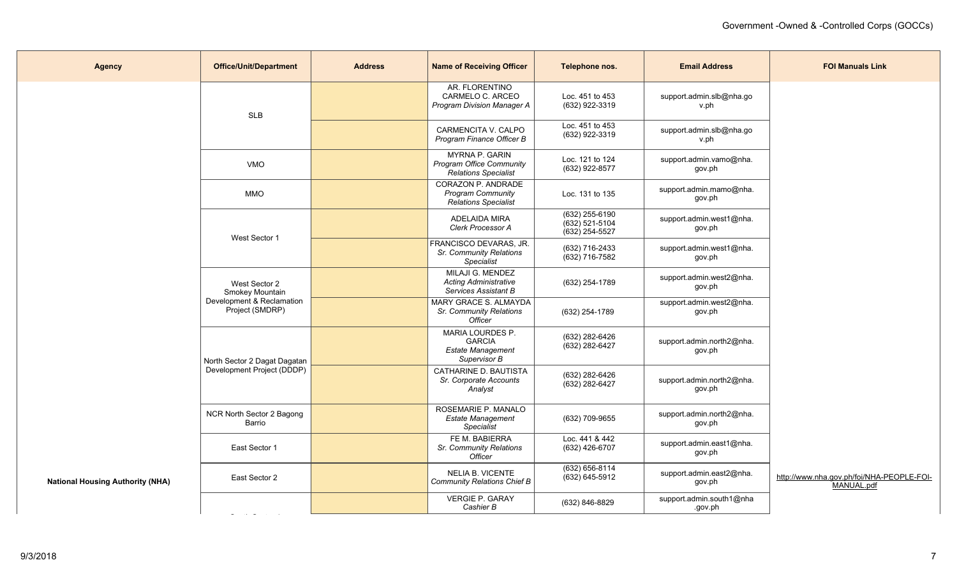| <b>Agency</b>                           | <b>Office/Unit/Department</b>                | <b>Address</b> | <b>Name of Receiving Officer</b>                                              | Telephone nos.                                         | <b>Email Address</b>                | <b>FOI Manuals Link</b>                                 |
|-----------------------------------------|----------------------------------------------|----------------|-------------------------------------------------------------------------------|--------------------------------------------------------|-------------------------------------|---------------------------------------------------------|
|                                         | <b>SLB</b>                                   |                | AR. FLORENTINO<br>CARMELO C. ARCEO<br>Program Division Manager A              | Loc. 451 to 453<br>(632) 922-3319                      | support.admin.slb@nha.go<br>v.ph    |                                                         |
|                                         |                                              |                | CARMENCITA V. CALPO<br>Program Finance Officer B                              | Loc. 451 to 453<br>(632) 922-3319                      | support.admin.slb@nha.go<br>v.ph    |                                                         |
|                                         | <b>VMO</b>                                   |                | MYRNA P. GARIN<br><b>Program Office Community</b><br>Relations Specialist     | Loc. 121 to 124<br>(632) 922-8577                      | support.admin.vamo@nha.<br>gov.ph   |                                                         |
|                                         | <b>MMO</b>                                   |                | CORAZON P. ANDRADE<br>Program Community<br><b>Relations Specialist</b>        | Loc. 131 to 135                                        | support.admin.mamo@nha.<br>gov.ph   |                                                         |
|                                         | West Sector 1                                |                | ADELAIDA MIRA<br>Clerk Processor A                                            | (632) 255-6190<br>$(632)$ 521-5104<br>$(632)$ 254-5527 | support.admin.west1@nha.<br>gov.ph  |                                                         |
|                                         |                                              |                | FRANCISCO DEVARAS, JR.<br>Sr. Community Relations<br><b>Specialist</b>        | (632) 716-2433<br>$(632)$ 716-7582                     | support.admin.west1@nha.<br>gov.ph  |                                                         |
|                                         | West Sector 2<br>Smokey Mountain             |                | MILAJI G. MENDEZ<br><b>Acting Administrative</b><br>Services Assistant B      | (632) 254-1789                                         | support.admin.west2@nha.<br>gov.ph  |                                                         |
|                                         | Development & Reclamation<br>Project (SMDRP) |                | <b>MARY GRACE S. ALMAYDA</b><br>Sr. Community Relations<br><b>Officer</b>     | (632) 254-1789                                         | support.admin.west2@nha.<br>gov.ph  |                                                         |
|                                         | North Sector 2 Dagat Dagatan                 |                | MARIA LOURDES P.<br><b>GARCIA</b><br><b>Estate Management</b><br>Supervisor B | (632) 282-6426<br>(632) 282-6427                       | support.admin.north2@nha.<br>gov.ph |                                                         |
|                                         | Development Project (DDDP)                   |                | CATHARINE D. BAUTISTA<br>Sr. Corporate Accounts<br>Analyst                    | (632) 282-6426<br>(632) 282-6427                       | support.admin.north2@nha.<br>gov.ph |                                                         |
|                                         | NCR North Sector 2 Bagong<br>Barrio          |                | ROSEMARIE P. MANALO<br><b>Estate Management</b><br>Specialist                 | (632) 709-9655                                         | support.admin.north2@nha.<br>gov.ph |                                                         |
|                                         | East Sector 1                                |                | FE M. BABIERRA<br>Sr. Community Relations<br>Officer                          | Loc. 441 & 442<br>(632) 426-6707                       | support.admin.east1@nha.<br>gov.ph  |                                                         |
| <b>National Housing Authority (NHA)</b> | East Sector 2                                |                | <b>NELIA B. VICENTE</b><br><b>Community Relations Chief B</b>                 | (632) 656-8114<br>(632) 645-5912                       | support.admin.east2@nha.<br>gov.ph  | http://www.nha.gov.ph/foi/NHA-PEOPLE-FOI-<br>MANUAL.pdf |
|                                         |                                              |                | <b>VERGIE P. GARAY</b><br>Cashier B                                           | (632) 846-8829                                         | support.admin.south1@nha<br>.gov.ph |                                                         |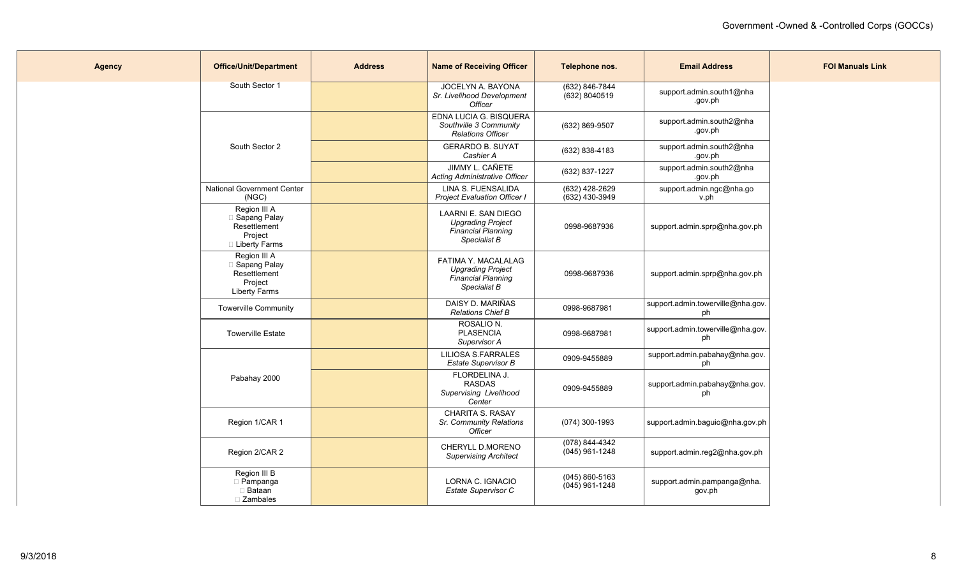| <b>Agency</b> | <b>Office/Unit/Department</b>                                                     | <b>Address</b> | <b>Name of Receiving Officer</b>                                                             | Telephone nos.                         | <b>Email Address</b>                    | <b>FOI Manuals Link</b> |
|---------------|-----------------------------------------------------------------------------------|----------------|----------------------------------------------------------------------------------------------|----------------------------------------|-----------------------------------------|-------------------------|
|               | South Sector 1                                                                    |                | JOCELYN A. BAYONA<br>Sr. Livelihood Development<br>Officer                                   | (632) 846-7844<br>(632) 8040519        | support.admin.south1@nha<br>.gov.ph     |                         |
|               |                                                                                   |                | EDNA LUCIA G. BISQUERA<br>Southville 3 Community<br><b>Relations Officer</b>                 | (632) 869-9507                         | support.admin.south2@nha<br>.gov.ph     |                         |
|               | South Sector 2                                                                    |                | <b>GERARDO B. SUYAT</b><br>Cashier A                                                         | (632) 838-4183                         | support.admin.south2@nha<br>.gov.ph     |                         |
|               |                                                                                   |                | JIMMY L. CAÑETE<br><b>Acting Administrative Officer</b>                                      | (632) 837-1227                         | support.admin.south2@nha<br>.gov.ph     |                         |
|               | <b>National Government Center</b><br>(NGC)                                        |                | LINA S. FUENSALIDA<br><b>Project Evaluation Officer I</b>                                    | (632) 428-2629<br>$(632)$ 430-3949     | support.admin.ngc@nha.go<br>v.ph        |                         |
|               | Region III A<br>□ Sapang Palay<br>Resettlement<br>Project<br>□ Liberty Farms      |                | LAARNI E. SAN DIEGO<br><b>Upgrading Project</b><br>Financial Planning<br>Specialist B        | 0998-9687936                           | support.admin.sprp@nha.gov.ph           |                         |
|               | Region III A<br>□ Sapang Palay<br>Resettlement<br>Project<br><b>Liberty Farms</b> |                | FATIMA Y. MACALALAG<br><b>Upgrading Project</b><br><b>Financial Planning</b><br>Specialist B | 0998-9687936                           | support.admin.sprp@nha.gov.ph           |                         |
|               | <b>Towerville Community</b>                                                       |                | DAISY D. MARIÑAS<br><b>Relations Chief B</b>                                                 | 0998-9687981                           | support.admin.towerville@nha.gov.<br>ph |                         |
|               | <b>Towerville Estate</b>                                                          |                | ROSALIO N.<br><b>PLASENCIA</b><br>Supervisor A                                               | 0998-9687981                           | support.admin.towerville@nha.gov.<br>ph |                         |
|               |                                                                                   |                | <b>LILIOSA S.FARRALES</b><br><b>Estate Supervisor B</b>                                      | 0909-9455889                           | support.admin.pabahay@nha.gov.<br>ph    |                         |
|               | Pabahay 2000                                                                      |                | FLORDELINA J.<br><b>RASDAS</b><br>Supervising Livelihood<br>Center                           | 0909-9455889                           | support.admin.pabahay@nha.gov.<br>ph    |                         |
|               | Region 1/CAR 1                                                                    |                | <b>CHARITA S. RASAY</b><br>Sr. Community Relations<br><b>Officer</b>                         | (074) 300-1993                         | support.admin.baguio@nha.gov.ph         |                         |
|               | Region 2/CAR 2                                                                    |                | CHERYLL D.MORENO<br><b>Supervising Architect</b>                                             | (078) 844-4342<br>(045) 961-1248       | support.admin.reg2@nha.gov.ph           |                         |
|               | Region III B<br>D Pampanga<br>$\Box$ Bataan<br>□ Zambales                         |                | LORNA C. IGNACIO<br>Estate Supervisor C                                                      | $(045) 860 - 5163$<br>$(045)$ 961-1248 | support.admin.pampanga@nha.<br>gov.ph   |                         |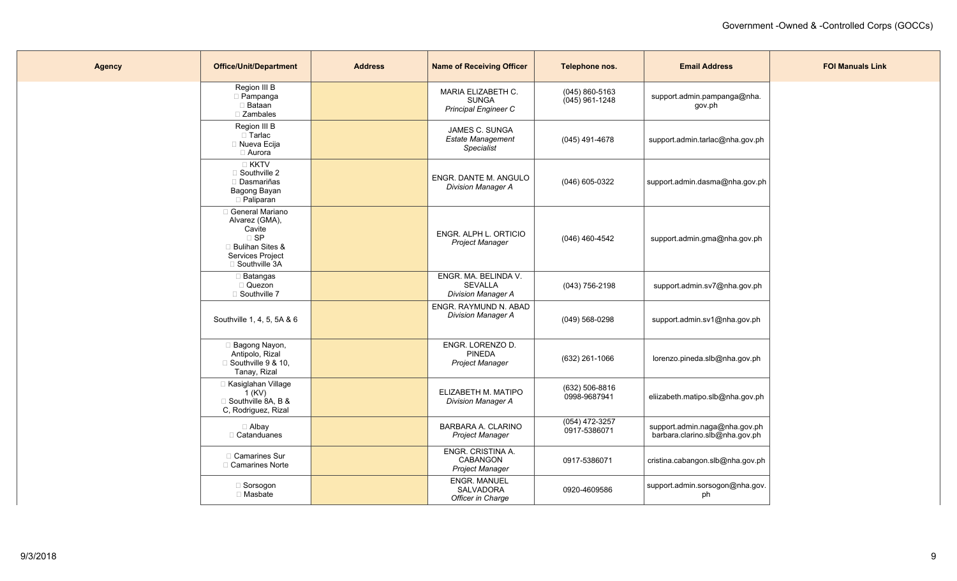| <b>Agency</b> | <b>Office/Unit/Department</b>                                                                                             | <b>Address</b> | <b>Name of Receiving Officer</b>                                         | Telephone nos.                       | <b>Email Address</b>                                            | <b>FOI Manuals Link</b> |
|---------------|---------------------------------------------------------------------------------------------------------------------------|----------------|--------------------------------------------------------------------------|--------------------------------------|-----------------------------------------------------------------|-------------------------|
|               | Region III B<br><b>Pampanga</b><br>□ Bataan<br>$\Box$ Zambales                                                            |                | <b>MARIA ELIZABETH C.</b><br><b>SUNGA</b><br><b>Principal Engineer C</b> | $(045)$ 860-5163<br>$(045)$ 961-1248 | support.admin.pampanga@nha.<br>gov.ph                           |                         |
|               | Region III B<br>□ Tarlac<br>□ Nueva Ecija<br>□ Aurora                                                                     |                | JAMES C. SUNGA<br><b>Estate Management</b><br>Specialist                 | (045) 491-4678                       | support.admin.tarlac@nha.gov.ph                                 |                         |
|               | <b>E KKTV</b><br>Southville 2<br>Dasmariñas<br>Bagong Bayan<br>Paliparan                                                  |                | ENGR. DANTE M. ANGULO<br><b>Division Manager A</b>                       | (046) 605-0322                       | support.admin.dasma@nha.gov.ph                                  |                         |
|               | □ General Mariano<br>Alvarez (GMA),<br>Cavite<br>$\square$ SP<br>□ Bulihan Sites &<br>Services Project<br>□ Southville 3A |                | ENGR. ALPH L. ORTICIO<br><b>Project Manager</b>                          | (046) 460-4542                       | support.admin.gma@nha.gov.ph                                    |                         |
|               | □ Batangas<br>Quezon<br>□ Southville 7                                                                                    |                | ENGR. MA. BELINDA V.<br><b>SEVALLA</b><br><b>Division Manager A</b>      | $(043)$ 756-2198                     | support.admin.sv7@nha.gov.ph                                    |                         |
|               | Southville 1, 4, 5, 5A & 6                                                                                                |                | ENGR. RAYMUND N. ABAD<br><b>Division Manager A</b>                       | $(049)$ 568-0298                     | support.admin.sv1@nha.gov.ph                                    |                         |
|               | <b>Bagong Nayon,</b><br>Antipolo, Rizal<br>□ Southville 9 & 10,<br>Tanay, Rizal                                           |                | ENGR. LORENZO D.<br><b>PINEDA</b><br><b>Project Manager</b>              | (632) 261-1066                       | lorenzo.pineda.slb@nha.gov.ph                                   |                         |
|               | □ Kasiglahan Village<br>$1$ (KV)<br>□ Southville 8A. B &<br>C, Rodriguez, Rizal                                           |                | ELIZABETH M. MATIPO<br><b>Division Manager A</b>                         | (632) 506-8816<br>0998-9687941       | eliizabeth.matipo.slb@nha.gov.ph                                |                         |
|               | □ Albay<br>□ Catanduanes                                                                                                  |                | BARBARA A. CLARINO<br><b>Project Manager</b>                             | (054) 472-3257<br>0917-5386071       | support.admin.naga@nha.gov.ph<br>barbara.clarino.slb@nha.gov.ph |                         |
|               | □ Camarines Sur<br>□ Camarines Norte                                                                                      |                | ENGR. CRISTINA A.<br><b>CABANGON</b><br><b>Project Manager</b>           | 0917-5386071                         | cristina.cabangon.slb@nha.gov.ph                                |                         |
|               | □ Sorsogon<br>□ Masbate                                                                                                   |                | <b>ENGR. MANUEL</b><br>SALVADORA<br>Officer in Charge                    | 0920-4609586                         | support.admin.sorsogon@nha.gov.<br>ph                           |                         |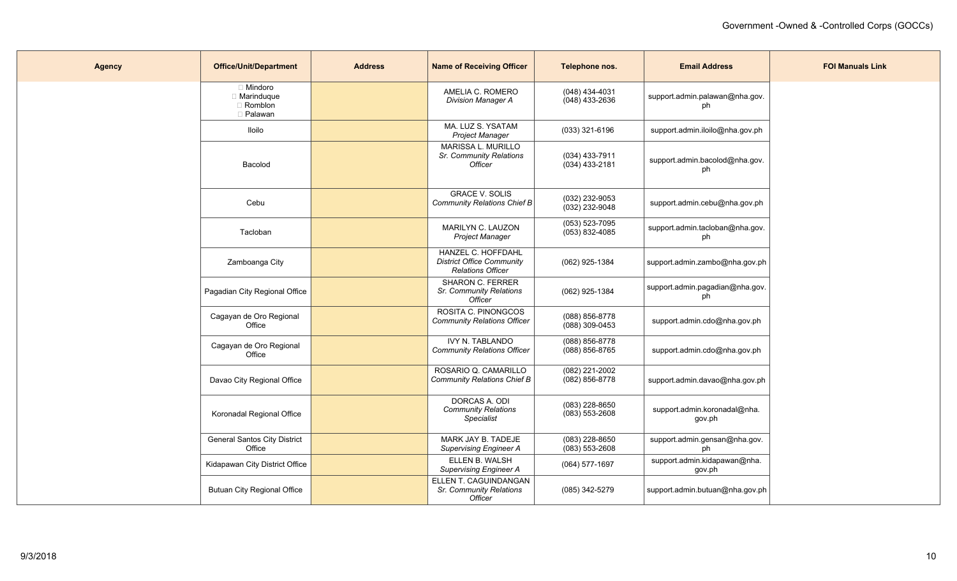| <b>Agency</b> | <b>Office/Unit/Department</b>                            | <b>Address</b> | <b>Name of Receiving Officer</b>                                                   | Telephone nos.                         | <b>Email Address</b>                   | <b>FOI Manuals Link</b> |
|---------------|----------------------------------------------------------|----------------|------------------------------------------------------------------------------------|----------------------------------------|----------------------------------------|-------------------------|
|               | $\Box$ Mindoro<br>□ Marinduque<br>□ Romblon<br>□ Palawan |                | AMELIA C. ROMERO<br><b>Division Manager A</b>                                      | (048) 434-4031<br>(048) 433-2636       | support.admin.palawan@nha.gov.<br>ph   |                         |
|               | lloilo                                                   |                | MA. LUZ S. YSATAM<br><b>Project Manager</b>                                        | $(033)$ 321-6196                       | support.admin.iloilo@nha.gov.ph        |                         |
|               | Bacolod                                                  |                | MARISSA L. MURILLO<br>Sr. Community Relations<br><b>Officer</b>                    | $(034)$ 433-7911<br>$(034)$ 433-2181   | support.admin.bacolod@nha.gov.<br>ph   |                         |
|               | Cebu                                                     |                | <b>GRACE V. SOLIS</b><br>Community Relations Chief B                               | (032) 232-9053<br>(032) 232-9048       | support.admin.cebu@nha.gov.ph          |                         |
|               | Tacloban                                                 |                | MARILYN C. LAUZON<br>Project Manager                                               | $(053) 523 - 7095$<br>$(053)$ 832-4085 | support.admin.tacloban@nha.gov.<br>ph  |                         |
|               | Zamboanga City                                           |                | HANZEL C. HOFFDAHL<br><b>District Office Community</b><br><b>Relations Officer</b> | (062) 925-1384                         | support.admin.zambo@nha.gov.ph         |                         |
|               | Pagadian City Regional Office                            |                | <b>SHARON C. FERRER</b><br>Sr. Community Relations<br><b>Officer</b>               | (062) 925-1384                         | support.admin.pagadian@nha.gov.<br>ph  |                         |
|               | Cagayan de Oro Regional<br>Office                        |                | ROSITA C. PINONGCOS<br><b>Community Relations Officer</b>                          | (088) 856-8778<br>$(088)$ 309-0453     | support.admin.cdo@nha.gov.ph           |                         |
|               | Cagayan de Oro Regional<br>Office                        |                | <b>IVY N. TABLANDO</b><br><b>Community Relations Officer</b>                       | (088) 856-8778<br>$(088) 856 - 8765$   | support.admin.cdo@nha.gov.ph           |                         |
|               | Davao City Regional Office                               |                | ROSARIO Q. CAMARILLO<br><b>Community Relations Chief B</b>                         | (082) 221-2002<br>$(082) 856 - 8778$   | support.admin.davao@nha.gov.ph         |                         |
|               | Koronadal Regional Office                                |                | DORCAS A. ODI<br><b>Community Relations</b><br>Specialist                          | (083) 228-8650<br>$(083)$ 553-2608     | support.admin.koronadal@nha.<br>gov.ph |                         |
|               | <b>General Santos City District</b><br>Office            |                | MARK JAY B. TADEJE<br><b>Supervising Engineer A</b>                                | $(083)$ 228-8650<br>$(083)$ 553-2608   | support.admin.gensan@nha.gov.<br>ph    |                         |
|               | Kidapawan City District Office                           |                | ELLEN B. WALSH<br><b>Supervising Engineer A</b>                                    | $(064)$ 577-1697                       | support.admin.kidapawan@nha.<br>gov.ph |                         |
|               | <b>Butuan City Regional Office</b>                       |                | ELLEN T. CAGUINDANGAN<br>Sr. Community Relations<br><b>Officer</b>                 | (085) 342-5279                         | support.admin.butuan@nha.gov.ph        |                         |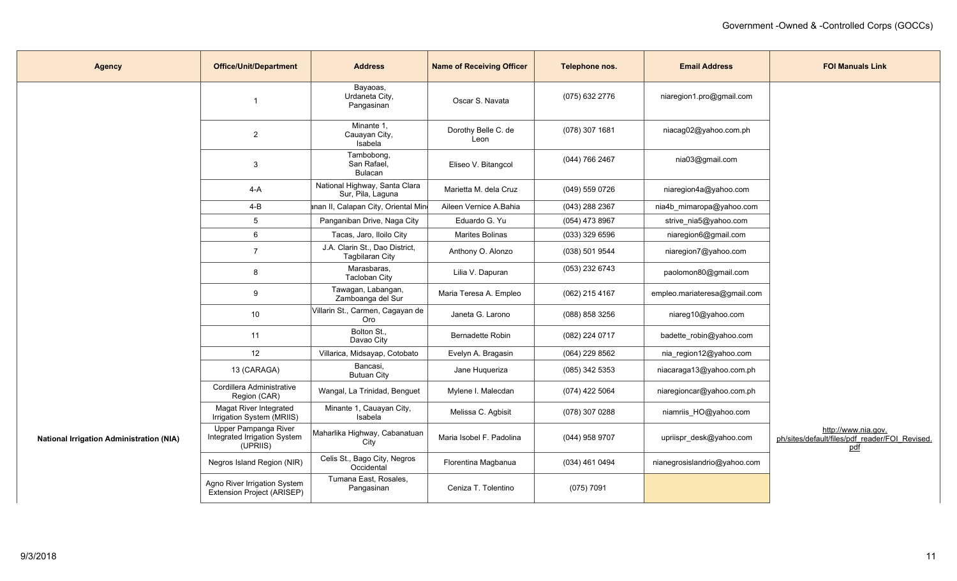| <b>Agency</b>                                   | <b>Office/Unit/Department</b>                                    | <b>Address</b>                                           | <b>Name of Receiving Officer</b> | Telephone nos.   | <b>Email Address</b>         | <b>FOI Manuals Link</b>                                                      |
|-------------------------------------------------|------------------------------------------------------------------|----------------------------------------------------------|----------------------------------|------------------|------------------------------|------------------------------------------------------------------------------|
|                                                 |                                                                  | Bayaoas,<br>Urdaneta City,<br>Pangasinan                 | Oscar S. Navata                  | (075) 632 2776   | niaregion1.pro@gmail.com     |                                                                              |
|                                                 | $\overline{2}$                                                   | Minante 1,<br>Cauayan City,<br>Isabela                   | Dorothy Belle C. de<br>Leon      | (078) 307 1681   | niacag02@yahoo.com.ph        |                                                                              |
|                                                 | 3                                                                | Tambobong,<br>San Rafael,<br>Bulacan                     | Eliseo V. Bitangcol              | (044) 766 2467   | nia03@gmail.com              |                                                                              |
|                                                 | 4-A                                                              | National Highway, Santa Clara<br>Sur, Pila, Laguna       | Marietta M. dela Cruz            | (049) 559 0726   | niaregion4a@yahoo.com        |                                                                              |
|                                                 | $4 - B$                                                          | anan II, Calapan City, Oriental Min                      | Aileen Vernice A.Bahia           | (043) 288 2367   | nia4b_mimaropa@yahoo.com     |                                                                              |
|                                                 | $5\phantom{.0}$                                                  | Panganiban Drive, Naga City                              | Eduardo G. Yu                    | (054) 473 8967   | strive_nia5@yahoo.com        |                                                                              |
|                                                 | 6                                                                | Tacas, Jaro, Iloilo City                                 | Marites Bolinas                  | (033) 329 6596   | niaregion6@gmail.com         |                                                                              |
|                                                 | $\overline{7}$                                                   | J.A. Clarin St., Dao District,<br><b>Tagbilaran City</b> | Anthony O. Alonzo                | $(038)$ 501 9544 | niaregion7@yahoo.com         |                                                                              |
|                                                 | 8                                                                | Marasbaras,<br>Tacloban City                             | Lilia V. Dapuran                 | (053) 232 6743   | paolomon80@gmail.com         |                                                                              |
|                                                 | 9                                                                | Tawagan, Labangan,<br>Zamboanga del Sur                  | Maria Teresa A. Empleo           | (062) 215 4167   | empleo.mariateresa@gmail.com |                                                                              |
|                                                 | 10 <sup>°</sup>                                                  | Villarin St., Carmen, Cagayan de<br>Oro                  | Janeta G. Larono                 | (088) 858 3256   | niareg10@yahoo.com           |                                                                              |
|                                                 | 11                                                               | Bolton St.,<br>Davao City                                | <b>Bernadette Robin</b>          | (082) 224 0717   | badette_robin@yahoo.com      |                                                                              |
|                                                 | 12                                                               | Villarica, Midsayap, Cotobato                            | Evelyn A. Bragasin               | (064) 229 8562   | nia_region12@yahoo.com       |                                                                              |
|                                                 | 13 (CARAGA)                                                      | Bancasi,<br><b>Butuan City</b>                           | Jane Huqueriza                   | (085) 342 5353   | niacaraga13@yahoo.com.ph     |                                                                              |
|                                                 | Cordillera Administrative<br>Region (CAR)                        | Wangal, La Trinidad, Benguet                             | Mylene I. Malecdan               | (074) 422 5064   | niaregioncar@yahoo.com.ph    |                                                                              |
|                                                 | Magat River Integrated<br>Irrigation System (MRIIS)              | Minante 1, Cauayan City,<br>Isabela                      | Melissa C. Agbisit               | (078) 307 0288   | niamriis_HO@yahoo.com        |                                                                              |
| <b>National Irrigation Administration (NIA)</b> | Upper Pampanga River<br>Integrated Irrigation System<br>(UPRIIS) | Maharlika Highway, Cabanatuan<br>City                    | Maria Isobel F. Padolina         | (044) 958 9707   | upriispr_desk@yahoo.com      | http://www.nia.gov.<br>ph/sites/default/files/pdf reader/FOI Revised.<br>pdf |
|                                                 | Negros Island Region (NIR)                                       | Celis St., Bago City, Negros<br>Occidental               | Florentina Magbanua              | (034) 461 0494   | nianegrosislandrio@yahoo.com |                                                                              |
|                                                 | Agno River Irrigation System<br>Extension Project (ARISEP)       | Tumana East, Rosales,<br>Pangasinan                      | Ceniza T. Tolentino              | (075) 7091       |                              |                                                                              |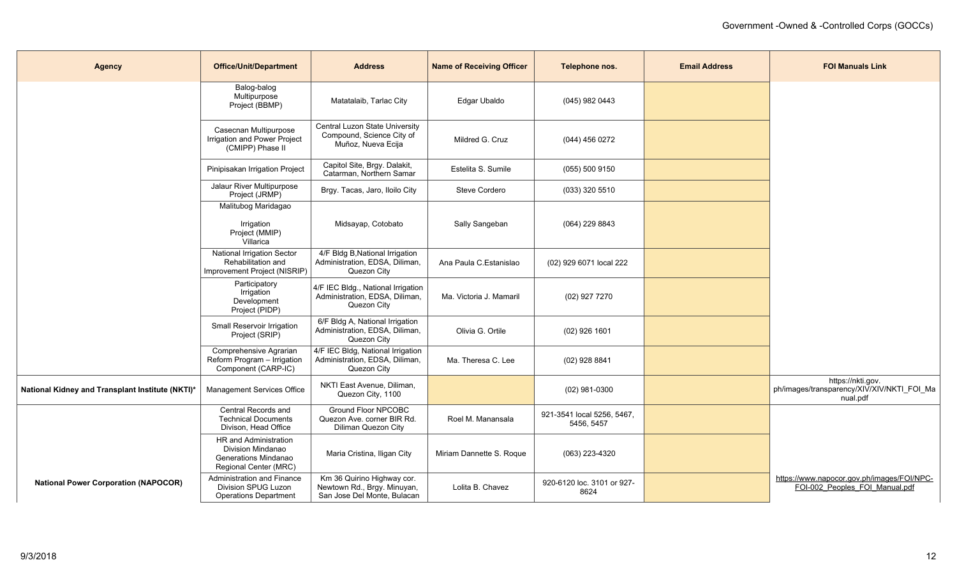| <b>Agency</b>                                    | <b>Office/Unit/Department</b>                                                               | <b>Address</b>                                                                           | <b>Name of Receiving Officer</b> | Telephone nos.                           | <b>Email Address</b> | <b>FOI Manuals Link</b>                                                      |
|--------------------------------------------------|---------------------------------------------------------------------------------------------|------------------------------------------------------------------------------------------|----------------------------------|------------------------------------------|----------------------|------------------------------------------------------------------------------|
|                                                  | Balog-balog<br>Multipurpose<br>Project (BBMP)                                               | Matatalaib, Tarlac City                                                                  | Edgar Ubaldo                     | (045) 982 0443                           |                      |                                                                              |
|                                                  | Casecnan Multipurpose<br>Irrigation and Power Project<br>(CMIPP) Phase II                   | Central Luzon State University<br>Compound, Science City of<br>Muñoz, Nueva Ecija        | Mildred G. Cruz                  | (044) 456 0272                           |                      |                                                                              |
|                                                  | Pinipisakan Irrigation Project                                                              | Capitol Site, Brgy. Dalakit,<br>Catarman, Northern Samar                                 | Estelita S. Sumile               | (055) 500 9150                           |                      |                                                                              |
|                                                  | Jalaur River Multipurpose<br>Project (JRMP)                                                 | Brgy. Tacas, Jaro, Iloilo City                                                           | Steve Cordero                    | (033) 320 5510                           |                      |                                                                              |
|                                                  | Malitubog Maridagao<br>Irrigation<br>Project (MMIP)<br>Villarica                            | Midsayap, Cotobato                                                                       | Sally Sangeban                   | (064) 229 8843                           |                      |                                                                              |
|                                                  | <b>National Irrigation Sector</b><br>Rehabilitation and<br>Improvement Project (NISRIP)     | 4/F Bldg B, National Irrigation<br>Administration, EDSA, Diliman,<br>Quezon City         | Ana Paula C.Estanislao           | (02) 929 6071 local 222                  |                      |                                                                              |
|                                                  | Participatory<br>Irrigation<br>Development<br>Project (PIDP)                                | 4/F IEC Bldg., National Irrigation<br>Administration, EDSA, Diliman,<br>Quezon City      | Ma. Victoria J. Mamaril          | (02) 927 7270                            |                      |                                                                              |
|                                                  | Small Reservoir Irrigation<br>Project (SRIP)                                                | 6/F Bldg A, National Irrigation<br>Administration, EDSA, Diliman,<br>Quezon City         | Olivia G. Ortile                 | $(02)$ 926 1601                          |                      |                                                                              |
|                                                  | Comprehensive Agrarian<br>Reform Program - Irrigation<br>Component (CARP-IC)                | 4/F IEC Bldg, National Irrigation<br>Administration, EDSA, Diliman,<br>Quezon City       | Ma. Theresa C. Lee               | $(02)$ 928 8841                          |                      |                                                                              |
| National Kidney and Transplant Institute (NKTI)* | Management Services Office                                                                  | NKTI East Avenue, Diliman,<br>Quezon City, 1100                                          |                                  | (02) 981-0300                            |                      | https://nkti.gov.<br>ph/images/transparency/XIV/XIV/NKTI_FOI_Ma<br>nual.pdf  |
|                                                  | Central Records and<br><b>Technical Documents</b><br>Divison, Head Office                   | <b>Ground Floor NPCOBC</b><br>Quezon Ave. corner BIR Rd.<br>Diliman Quezon City          | Roel M. Manansala                | 921-3541 local 5256, 5467,<br>5456, 5457 |                      |                                                                              |
|                                                  | HR and Administration<br>Division Mindanao<br>Generations Mindanao<br>Regional Center (MRC) | Maria Cristina, Iligan City                                                              | Miriam Dannette S. Roque         | (063) 223-4320                           |                      |                                                                              |
| <b>National Power Corporation (NAPOCOR)</b>      | Administration and Finance<br>Division SPUG Luzon<br><b>Operations Department</b>           | Km 36 Quirino Highway cor.<br>Newtown Rd., Brgy. Minuyan,<br>San Jose Del Monte, Bulacan | Lolita B. Chavez                 | 920-6120 loc. 3101 or 927-<br>8624       |                      | https://www.napocor.gov.ph/images/FOI/NPC-<br>FOI-002 Peoples FOI Manual.pdf |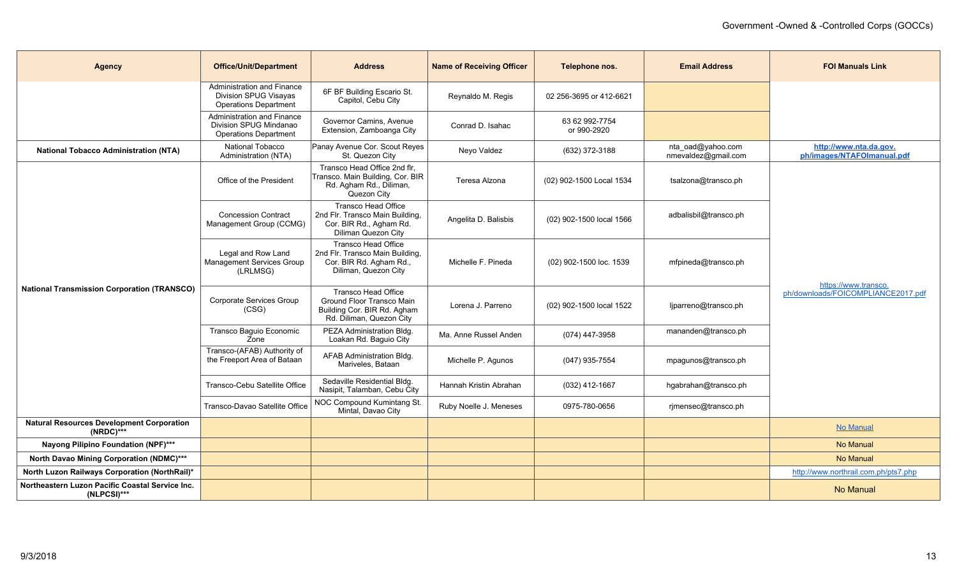| <b>Agency</b>                                                    | <b>Office/Unit/Department</b>                                                              | <b>Address</b>                                                                                                   | <b>Name of Receiving Officer</b> | Telephone nos.                | <b>Email Address</b>                     | <b>FOI Manuals Link</b>                                    |
|------------------------------------------------------------------|--------------------------------------------------------------------------------------------|------------------------------------------------------------------------------------------------------------------|----------------------------------|-------------------------------|------------------------------------------|------------------------------------------------------------|
|                                                                  | Administration and Finance<br><b>Division SPUG Visayas</b><br><b>Operations Department</b> | 6F BF Building Escario St.<br>Capitol, Cebu City                                                                 | Reynaldo M. Regis                | 02 256-3695 or 412-6621       |                                          |                                                            |
|                                                                  | Administration and Finance<br>Division SPUG Mindanao<br><b>Operations Department</b>       | Governor Camins, Avenue<br>Extension, Zamboanga City                                                             | Conrad D. Isahac                 | 63 62 992-7754<br>or 990-2920 |                                          |                                                            |
| <b>National Tobacco Administration (NTA)</b>                     | National Tobacco<br>Administration (NTA)                                                   | Panay Avenue Cor. Scout Reyes<br>St. Quezon City                                                                 | Neyo Valdez                      | (632) 372-3188                | nta_oad@yahoo.com<br>nmevaldez@gmail.com | http://www.nta.da.gov.<br>ph/images/NTAFOImanual.pdf       |
|                                                                  | Office of the President                                                                    | Transco Head Office 2nd flr,<br>Transco. Main Building, Cor. BIR<br>Rd. Agham Rd., Diliman,<br>Quezon City       | Teresa Alzona                    | (02) 902-1500 Local 1534      | tsalzona@transco.ph                      |                                                            |
|                                                                  | <b>Concession Contract</b><br>Management Group (CCMG)                                      | <b>Transco Head Office</b><br>2nd Flr. Transco Main Building,<br>Cor. BIR Rd., Agham Rd.<br>Diliman Quezon City  | Angelita D. Balisbis             | (02) 902-1500 local 1566      | adbalisbil@transco.ph                    | https://www.transco.<br>ph/downloads/FOICOMPLIANCE2017.pdf |
|                                                                  | Legal and Row Land<br>Management Services Group<br>(LRLMSG)                                | <b>Transco Head Office</b><br>2nd Flr. Transco Main Building,<br>Cor. BIR Rd. Agham Rd.,<br>Diliman, Quezon City | Michelle F. Pineda               | (02) 902-1500 loc. 1539       | mfpineda@transco.ph                      |                                                            |
| <b>National Transmission Corporation (TRANSCO)</b>               | Corporate Services Group<br>(CSG)                                                          | Transco Head Office<br>Ground Floor Transco Main<br>Building Cor. BIR Rd. Agham<br>Rd. Diliman, Quezon City      | Lorena J. Parreno                | (02) 902-1500 local 1522      | ljparreno@transco.ph                     |                                                            |
|                                                                  | Transco Baguio Economic<br>Zone                                                            | PEZA Administration Bldg.<br>Loakan Rd. Baguio City                                                              | Ma. Anne Russel Anden            | (074) 447-3958                | mananden@transco.ph                      |                                                            |
|                                                                  | Transco-(AFAB) Authority of<br>the Freeport Area of Bataan                                 | AFAB Administration Bldg.<br>Mariveles, Bataan                                                                   | Michelle P. Agunos               | (047) 935-7554                | mpagunos@transco.ph                      |                                                            |
|                                                                  | Transco-Cebu Satellite Office                                                              | Sedaville Residential Bldg.<br>Nasipit, Talamban, Cebu City                                                      | Hannah Kristin Abrahan           | $(032)$ 412-1667              | hgabrahan@transco.ph                     |                                                            |
|                                                                  | Transco-Davao Satellite Office                                                             | NOC Compound Kumintang St.<br>Mintal, Davao City                                                                 | Ruby Noelle J. Meneses           | 0975-780-0656                 | rjmensec@transco.ph                      |                                                            |
| <b>Natural Resources Development Corporation</b><br>$(NRDC)$ *** |                                                                                            |                                                                                                                  |                                  |                               |                                          | No Manual                                                  |
| Nayong Pilipino Foundation (NPF)***                              |                                                                                            |                                                                                                                  |                                  |                               |                                          | <b>No Manual</b>                                           |
| <b>North Davao Mining Corporation (NDMC)***</b>                  |                                                                                            |                                                                                                                  |                                  |                               |                                          | <b>No Manual</b>                                           |
| North Luzon Railways Corporation (NorthRail)*                    |                                                                                            |                                                                                                                  |                                  |                               |                                          | http://www.northrail.com.ph/pts7.php                       |
| Northeastern Luzon Pacific Coastal Service Inc.<br>$(NLPCSI)***$ |                                                                                            |                                                                                                                  |                                  |                               |                                          | No Manual                                                  |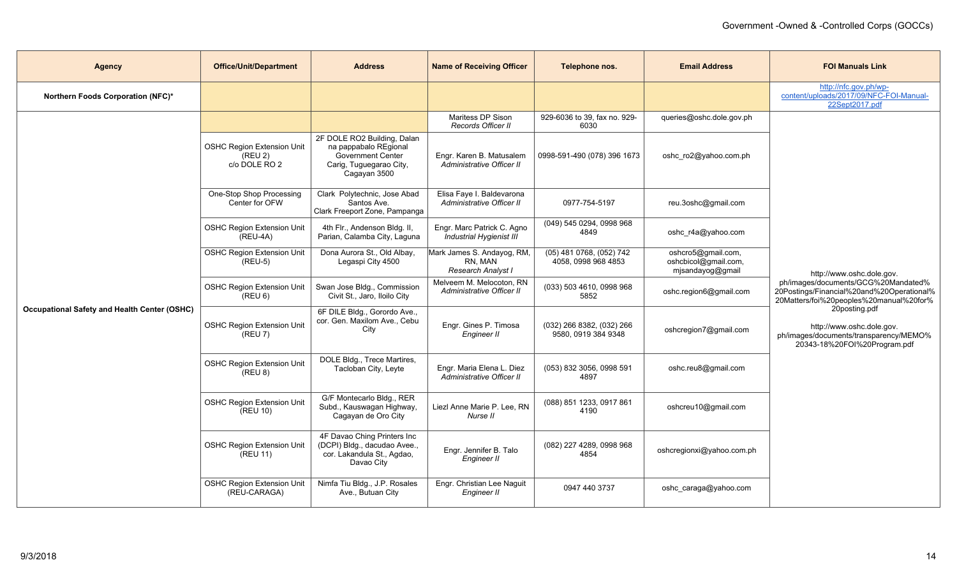| <b>Agency</b>                                       | <b>Office/Unit/Department</b>                                 | <b>Address</b>                                                                                                       | <b>Name of Receiving Officer</b>                            | Telephone nos.                                   | <b>Email Address</b>                                           | <b>FOI Manuals Link</b>                                                                                                                                                                                                                                                          |
|-----------------------------------------------------|---------------------------------------------------------------|----------------------------------------------------------------------------------------------------------------------|-------------------------------------------------------------|--------------------------------------------------|----------------------------------------------------------------|----------------------------------------------------------------------------------------------------------------------------------------------------------------------------------------------------------------------------------------------------------------------------------|
| Northern Foods Corporation (NFC)*                   |                                                               |                                                                                                                      |                                                             |                                                  |                                                                | http://nfc.gov.ph/wp-<br>content/uploads/2017/09/NFC-FOI-Manual-<br>22Sept2017.pdf                                                                                                                                                                                               |
|                                                     |                                                               |                                                                                                                      | Maritess DP Sison<br><b>Records Officer II</b>              | 929-6036 to 39, fax no. 929-<br>6030             | queries@oshc.dole.gov.ph                                       |                                                                                                                                                                                                                                                                                  |
|                                                     | <b>OSHC Region Extension Unit</b><br>(REU 2)<br>c/o DOLE RO 2 | 2F DOLE RO2 Building, Dalan<br>na pappabalo REgional<br>Government Center<br>Carig, Tuguegarao City,<br>Cagayan 3500 | Engr. Karen B. Matusalem<br>Administrative Officer II       | 0998-591-490 (078) 396 1673                      | oshc_ro2@yahoo.com.ph                                          |                                                                                                                                                                                                                                                                                  |
|                                                     | One-Stop Shop Processing<br>Center for OFW                    | Clark Polytechnic, Jose Abad<br>Santos Ave.<br>Clark Freeport Zone, Pampanga                                         | Elisa Faye I. Baldevarona<br>Administrative Officer II      | 0977-754-5197                                    | reu.3oshc@gmail.com                                            |                                                                                                                                                                                                                                                                                  |
|                                                     | <b>OSHC Region Extension Unit</b><br>$(REU-4A)$               | 4th Flr., Andenson Bldg. II,<br>Parian, Calamba City, Laguna                                                         | Engr. Marc Patrick C. Agno<br>Industrial Hygienist III      | (049) 545 0294, 0998 968<br>4849                 | oshc_r4a@yahoo.com                                             | http://www.oshc.dole.gov.<br>ph/images/documents/GCG%20Mandated%<br>20Postings/Financial%20and%20Operational%<br>20Matters/foi%20peoples%20manual%20for%<br>20posting.pdf<br>http://www.oshc.dole.gov.<br>ph/images/documents/transparency/MEMO%<br>20343-18%20FOI%20Program.pdf |
|                                                     | <b>OSHC Region Extension Unit</b><br>(REU-5)                  | Dona Aurora St., Old Albay,<br>Legaspi City 4500                                                                     | Mark James S. Andayog, RM,<br>RN. MAN<br>Research Analyst I | (05) 481 0768, (052) 742<br>4058, 0998 968 4853  | oshcro5@gmail.com,<br>oshcbicol@gmail.com,<br>mjsandayog@gmail |                                                                                                                                                                                                                                                                                  |
|                                                     | <b>OSHC Region Extension Unit</b><br>(REU 6)                  | Swan Jose Bldg., Commission<br>Civit St., Jaro, Iloilo City                                                          | Melveem M. Melocoton, RN<br>Administrative Officer II       | (033) 503 4610, 0998 968<br>5852                 | oshc.region6@gmail.com                                         |                                                                                                                                                                                                                                                                                  |
| <b>Occupational Safety and Health Center (OSHC)</b> | <b>OSHC Region Extension Unit</b><br>(REU 7)                  | 6F DILE Bldg., Gorordo Ave.,<br>cor. Gen. Maxilom Ave., Cebu<br>City                                                 | Engr. Gines P. Timosa<br>Engineer II                        | (032) 266 8382, (032) 266<br>9580, 0919 384 9348 | oshcregion7@gmail.com                                          |                                                                                                                                                                                                                                                                                  |
|                                                     | <b>OSHC Region Extension Unit</b><br>(REU 8)                  | DOLE Bldg., Trece Martires,<br>Tacloban City, Leyte                                                                  | Engr. Maria Elena L. Diez<br>Administrative Officer II      | (053) 832 3056, 0998 591<br>4897                 | oshc.reu8@gmail.com                                            |                                                                                                                                                                                                                                                                                  |
|                                                     | <b>OSHC Region Extension Unit</b><br>(REU 10)                 | G/F Montecarlo Bldg., RER<br>Subd., Kauswagan Highway,<br>Cagayan de Oro City                                        | Liezl Anne Marie P. Lee, RN<br>Nurse II                     | (088) 851 1233, 0917 861<br>4190                 | oshcreu10@gmail.com                                            |                                                                                                                                                                                                                                                                                  |
|                                                     | <b>OSHC Region Extension Unit</b><br>(REU 11)                 | 4F Davao Ching Printers Inc<br>(DCPI) Bldg., dacudao Avee.,<br>cor. Lakandula St., Agdao,<br>Davao City              | Engr. Jennifer B. Talo<br>Engineer II                       | (082) 227 4289, 0998 968<br>4854                 | oshcregionxi@yahoo.com.ph                                      |                                                                                                                                                                                                                                                                                  |
|                                                     | <b>OSHC Region Extension Unit</b><br>(REU-CARAGA)             | Nimfa Tiu Bldg., J.P. Rosales<br>Ave., Butuan City                                                                   | Engr. Christian Lee Naguit<br>Engineer II                   | 0947 440 3737                                    | oshc_caraga@yahoo.com                                          |                                                                                                                                                                                                                                                                                  |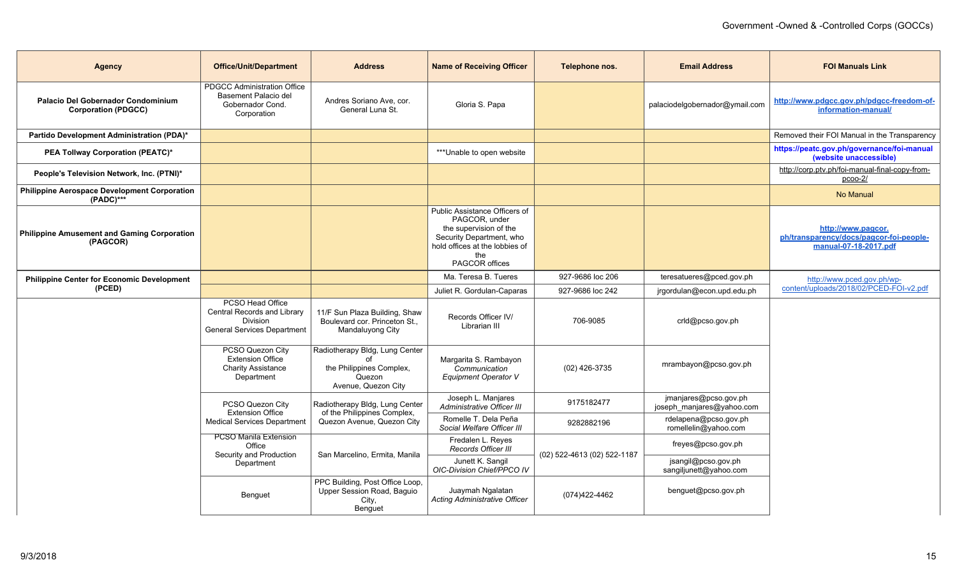| <b>Agency</b>                                                           | <b>Office/Unit/Department</b>                                                                            | <b>Address</b>                                                                              | <b>Name of Receiving Officer</b>                                                                                                                                | Telephone nos.              | <b>Email Address</b>                               | <b>FOI Manuals Link</b>                                                                |
|-------------------------------------------------------------------------|----------------------------------------------------------------------------------------------------------|---------------------------------------------------------------------------------------------|-----------------------------------------------------------------------------------------------------------------------------------------------------------------|-----------------------------|----------------------------------------------------|----------------------------------------------------------------------------------------|
| <b>Palacio Del Gobernador Condominium</b><br><b>Corporation (PDGCC)</b> | <b>PDGCC Administration Office</b><br>Basement Palacio del<br>Gobernador Cond.<br>Corporation            | Andres Soriano Ave. cor.<br>General Luna St.                                                | Gloria S. Papa                                                                                                                                                  |                             | palaciodelgobernador@ymail.com                     | http://www.pdgcc.gov.ph/pdgcc-freedom-of-<br>information-manual/                       |
| Partido Development Administration (PDA)*                               |                                                                                                          |                                                                                             |                                                                                                                                                                 |                             |                                                    | Removed their FOI Manual in the Transparency                                           |
| <b>PEA Tollway Corporation (PEATC)*</b>                                 |                                                                                                          |                                                                                             | ***Unable to open website                                                                                                                                       |                             |                                                    | https://peatc.gov.ph/governance/foi-manual<br>(website unaccessible)                   |
| People's Television Network, Inc. (PTNI)*                               |                                                                                                          |                                                                                             |                                                                                                                                                                 |                             |                                                    | http://corp.ptv.ph/foi-manual-final-copy-from-<br>$p$ coo- $2/$                        |
| <b>Philippine Aerospace Development Corporation</b><br>$(PADC)$ ***     |                                                                                                          |                                                                                             |                                                                                                                                                                 |                             |                                                    | No Manual                                                                              |
| <b>Philippine Amusement and Gaming Corporation</b><br>(PAGCOR)          |                                                                                                          |                                                                                             | Public Assistance Officers of<br>PAGCOR, under<br>the supervision of the<br>Security Department, who<br>hold offices at the lobbies of<br>the<br>PAGCOR offices |                             |                                                    | http://www.pagcor.<br>ph/transparency/docs/pagcor-foi-people-<br>manual-07-18-2017.pdf |
| <b>Philippine Center for Economic Development</b>                       |                                                                                                          |                                                                                             | Ma. Teresa B. Tueres                                                                                                                                            | 927-9686 loc 206            | teresatueres@pced.gov.ph                           | http://www.pced.gov.ph/wp-                                                             |
| (PCED)                                                                  |                                                                                                          |                                                                                             | Juliet R. Gordulan-Caparas                                                                                                                                      | 927-9686 loc 242            | jrgordulan@econ.upd.edu.ph                         | content/uploads/2018/02/PCED-FOI-v2.pdf                                                |
|                                                                         | PCSO Head Office<br>Central Records and Library<br><b>Division</b><br><b>General Services Department</b> | 11/F Sun Plaza Building, Shaw<br>Boulevard cor. Princeton St.,<br>Mandaluyong City          | Records Officer IV/<br>Librarian III                                                                                                                            | 706-9085                    | crld@pcso.gov.ph                                   |                                                                                        |
|                                                                         | PCSO Quezon City<br><b>Extension Office</b><br><b>Charity Assistance</b><br>Department                   | Radiotherapy Bldg, Lung Center<br>the Philippines Complex,<br>Quezon<br>Avenue, Quezon City | Margarita S. Rambayon<br>Communication<br>Equipment Operator V                                                                                                  | (02) 426-3735               | mrambayon@pcso.gov.ph                              |                                                                                        |
|                                                                         | PCSO Quezon City<br><b>Extension Office</b>                                                              | Radiotherapy Bldg, Lung Center<br>of the Philippines Complex,                               | Joseph L. Manjares<br><b>Administrative Officer III</b>                                                                                                         | 9175182477                  | jmanjares@pcso.gov.ph<br>joseph_manjares@yahoo.com |                                                                                        |
|                                                                         | <b>Medical Services Department</b>                                                                       | Quezon Avenue, Quezon City                                                                  | Romelle T. Dela Peña<br>Social Welfare Officer III                                                                                                              | 9282882196                  | rdelapena@pcso.gov.ph<br>romellelin@yahoo.com      |                                                                                        |
|                                                                         | <b>PCSO Manila Extension</b><br>Office<br>Security and Production                                        | San Marcelino, Ermita, Manila                                                               | Fredalen L. Reyes<br>Records Officer III                                                                                                                        | (02) 522-4613 (02) 522-1187 | freyes@pcso.gov.ph                                 |                                                                                        |
|                                                                         | Department                                                                                               |                                                                                             | Junett K. Sangil<br>OIC-Division Chief/PPCO IV                                                                                                                  |                             | jsangil@pcso.gov.ph<br>sangiljunett@yahoo.com      |                                                                                        |
|                                                                         | Benguet                                                                                                  | PPC Building, Post Office Loop,<br>Upper Session Road, Baquio<br>City,<br>Benguet           | Juaymah Ngalatan<br>Acting Administrative Officer                                                                                                               | (074)422-4462               | benguet@pcso.gov.ph                                |                                                                                        |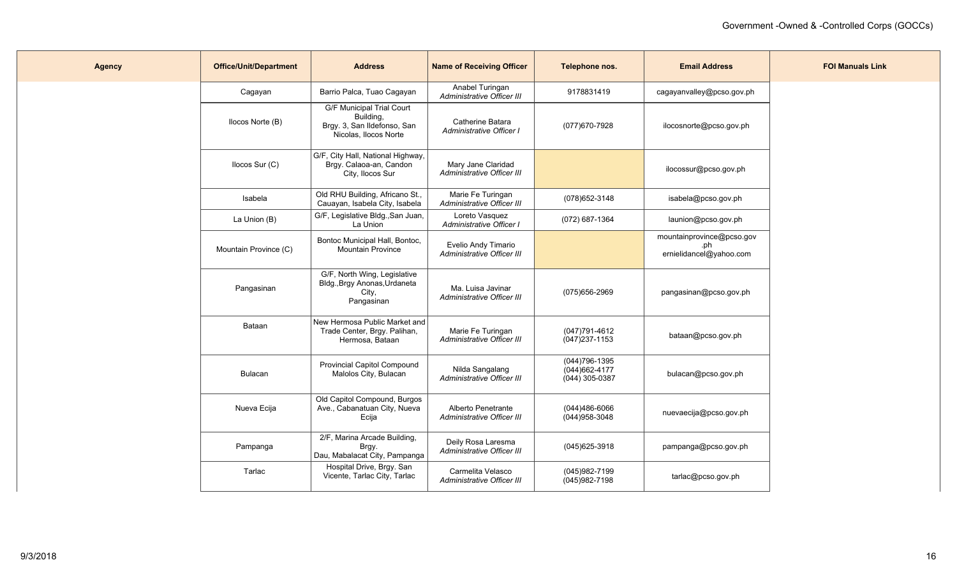| <b>Agency</b> | <b>Office/Unit/Department</b> | <b>Address</b>                                                                                        | <b>Name of Receiving Officer</b>                  | Telephone nos.                                          | <b>Email Address</b>                                        | <b>FOI Manuals Link</b> |
|---------------|-------------------------------|-------------------------------------------------------------------------------------------------------|---------------------------------------------------|---------------------------------------------------------|-------------------------------------------------------------|-------------------------|
|               | Cagayan                       | Barrio Palca, Tuao Cagayan                                                                            | Anabel Turingan<br>Administrative Officer III     | 9178831419                                              | cagayanvalley@pcso.gov.ph                                   |                         |
|               | Ilocos Norte (B)              | <b>G/F Municipal Trial Court</b><br>Building,<br>Brgy. 3, San Ildefonso, San<br>Nicolas, Ilocos Norte | Catherine Batara<br>Administrative Officer I      | (077) 670-7928                                          | ilocosnorte@pcso.gov.ph                                     |                         |
|               | Ilocos Sur (C)                | G/F, City Hall, National Highway,<br>Brgy. Calaoa-an, Candon<br>City, Ilocos Sur                      | Mary Jane Claridad<br>Administrative Officer III  |                                                         | ilocossur@pcso.gov.ph                                       |                         |
|               | Isabela                       | Old RHU Building, Africano St.,<br>Cauayan, Isabela City, Isabela                                     | Marie Fe Turingan<br>Administrative Officer III   | (078) 652-3148                                          | isabela@pcso.gov.ph                                         |                         |
|               | La Union (B)                  | G/F, Legislative Bldg., San Juan,<br>La Union                                                         | Loreto Vasquez<br>Administrative Officer I        | (072) 687-1364                                          | launion@pcso.gov.ph                                         |                         |
|               | Mountain Province (C)         | Bontoc Municipal Hall, Bontoc,<br>Mountain Province                                                   | Evelio Andy Timario<br>Administrative Officer III |                                                         | mountainprovince@pcso.gov<br>.ph<br>ernielidancel@yahoo.com |                         |
|               | Pangasinan                    | G/F, North Wing, Legislative<br>Bldg., Brgy Anonas, Urdaneta<br>City,<br>Pangasinan                   | Ma. Luisa Javinar<br>Administrative Officer III   | (075) 656-2969                                          | pangasinan@pcso.gov.ph                                      |                         |
|               | Bataan                        | New Hermosa Public Market and<br>Trade Center, Brgy. Palihan,<br>Hermosa, Bataan                      | Marie Fe Turingan<br>Administrative Officer III   | (047)791-4612<br>$(047)$ 237-1153                       | bataan@pcso.gov.ph                                          |                         |
|               | Bulacan                       | <b>Provincial Capitol Compound</b><br>Malolos City, Bulacan                                           | Nilda Sangalang<br>Administrative Officer III     | $(044)796 - 1395$<br>(044) 662-4177<br>$(044)$ 305-0387 | bulacan@pcso.gov.ph                                         |                         |
|               | Nueva Ecija                   | Old Capitol Compound, Burgos<br>Ave., Cabanatuan City, Nueva<br>Ecija                                 | Alberto Penetrante<br>Administrative Officer III  | (044)486-6066<br>(044) 958-3048                         | nuevaecija@pcso.gov.ph                                      |                         |
|               | Pampanga                      | 2/F, Marina Arcade Building,<br>Brgy.<br>Dau, Mabalacat City, Pampanga                                | Deily Rosa Laresma<br>Administrative Officer III  | (045) 625-3918                                          | pampanga@pcso.gov.ph                                        |                         |
|               | Tarlac                        | Hospital Drive, Brgy. San<br>Vicente, Tarlac City, Tarlac                                             | Carmelita Velasco<br>Administrative Officer III   | (045)982-7199<br>$(045)982 - 7198$                      | tarlac@pcso.gov.ph                                          |                         |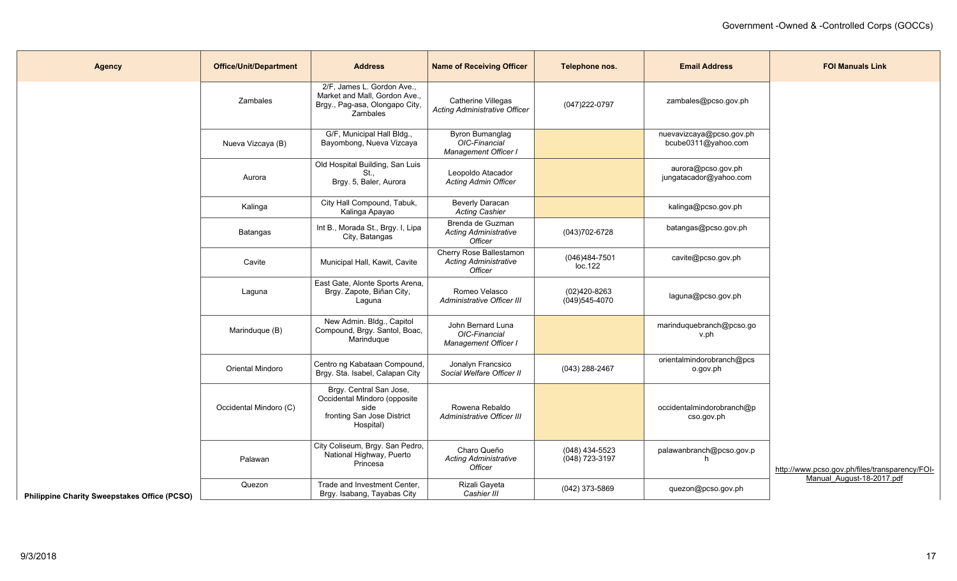| <b>Agency</b>                                       | <b>Office/Unit/Department</b> | <b>Address</b>                                                                                             | <b>Name of Receiving Officer</b>                                   | Telephone nos.                   | <b>Email Address</b>                            | <b>FOI Manuals Link</b>                        |
|-----------------------------------------------------|-------------------------------|------------------------------------------------------------------------------------------------------------|--------------------------------------------------------------------|----------------------------------|-------------------------------------------------|------------------------------------------------|
|                                                     | Zambales                      | 2/F, James L. Gordon Ave.,<br>Market and Mall, Gordon Ave.,<br>Brgy., Pag-asa, Olongapo City,<br>Zambales  | Catherine Villegas<br><b>Acting Administrative Officer</b>         | (047) 222-0797                   | zambales@pcso.gov.ph                            |                                                |
|                                                     | Nueva Vizcaya (B)             | G/F, Municipal Hall Bldg.,<br>Bayombong, Nueva Vizcaya                                                     | Byron Bumanglag<br>OIC-Financial<br>Management Officer I           |                                  | nuevavizcaya@pcso.gov.ph<br>bcube0311@yahoo.com |                                                |
|                                                     | Aurora                        | Old Hospital Building, San Luis<br>St.,<br>Brgy. 5, Baler, Aurora                                          | Leopoldo Atacador<br><b>Acting Admin Officer</b>                   |                                  | aurora@pcso.gov.ph<br>jungatacador@yahoo.com    |                                                |
|                                                     | Kalinga                       | City Hall Compound, Tabuk,<br>Kalinga Apayao                                                               | Beverly Daracan<br>Acting Cashier                                  |                                  | kalinga@pcso.gov.ph                             |                                                |
|                                                     | Batangas                      | Int B., Morada St., Brgy. I, Lipa<br>City, Batangas                                                        | Brenda de Guzman<br><b>Acting Administrative</b><br>Officer        | (043) 702-6728                   | batangas@pcso.gov.ph                            |                                                |
|                                                     | Cavite                        | Municipal Hall, Kawit, Cavite                                                                              | Cherry Rose Ballestamon<br><b>Acting Administrative</b><br>Officer | (046)484-7501<br>loc.122         | cavite@pcso.gov.ph                              |                                                |
|                                                     | Laguna                        | East Gate, Alonte Sports Arena,<br>Brgy. Zapote, Biñan City,<br>Laguna                                     | Romeo Velasco<br>Administrative Officer III                        | (02)420-8263<br>$(049)545-4070$  | laguna@pcso.gov.ph                              |                                                |
|                                                     | Marinduque (B)                | New Admin. Bldg., Capitol<br>Compound, Brgy. Santol, Boac,<br>Marinduque                                   | John Bernard Luna<br>OIC-Financial<br>Management Officer I         |                                  | marinduquebranch@pcso.go<br>v.ph                |                                                |
|                                                     | <b>Oriental Mindoro</b>       | Centro ng Kabataan Compound,<br>Brgy. Sta. Isabel, Calapan City                                            | Jonalyn Francsico<br>Social Welfare Officer II                     | (043) 288-2467                   | orientalmindorobranch@pcs<br>o.gov.ph           |                                                |
|                                                     | Occidental Mindoro (C)        | Brgy. Central San Jose,<br>Occidental Mindoro (opposite<br>side<br>fronting San Jose District<br>Hospital) | Rowena Rebaldo<br>Administrative Officer III                       |                                  | occidentalmindorobranch@p<br>cso.gov.ph         |                                                |
|                                                     | Palawan                       | City Coliseum, Brgy. San Pedro,<br>National Highway, Puerto<br>Princesa                                    | Charo Queño<br><b>Acting Administrative</b><br><b>Officer</b>      | (048) 434-5523<br>(048) 723-3197 | palawanbranch@pcso.gov.p<br>h.                  | http://www.pcso.gov.ph/files/transparency/FOI- |
| <b>Philippine Charity Sweepstakes Office (PCSO)</b> | Quezon                        | Trade and Investment Center,<br>Brgy. Isabang, Tayabas City                                                | Rizali Gayeta<br>Cashier III                                       | (042) 373-5869                   | quezon@pcso.gov.ph                              | Manual August-18-2017.pdf                      |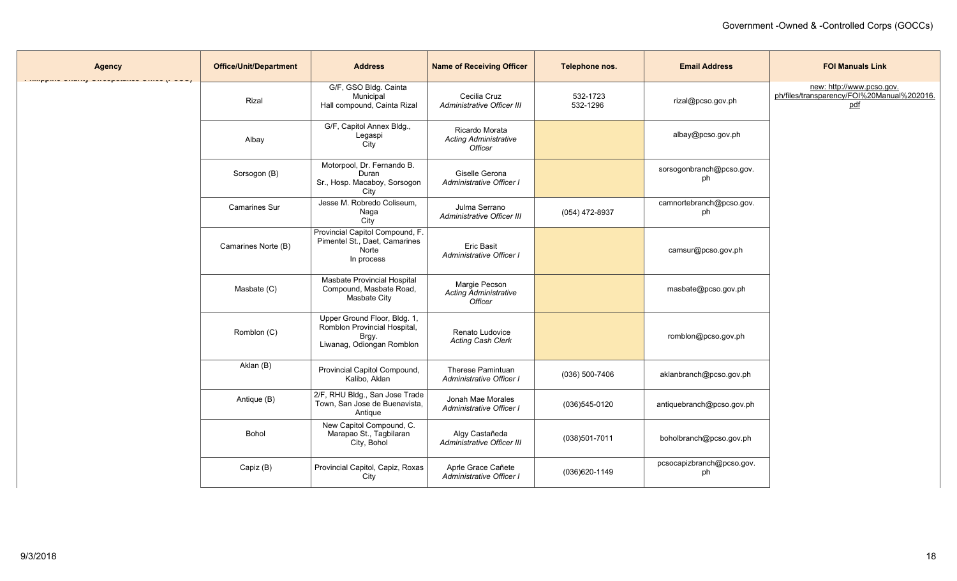| <b>Agency</b> | <b>Office/Unit/Department</b> | <b>Address</b>                                                                                     | <b>Name of Receiving Officer</b>                          | Telephone nos.       | <b>Email Address</b>            | <b>FOI Manuals Link</b>                                                        |
|---------------|-------------------------------|----------------------------------------------------------------------------------------------------|-----------------------------------------------------------|----------------------|---------------------------------|--------------------------------------------------------------------------------|
|               | Rizal                         | G/F, GSO Bldg. Cainta<br>Municipal<br>Hall compound, Cainta Rizal                                  | Cecilia Cruz<br>Administrative Officer III                | 532-1723<br>532-1296 | rizal@pcso.gov.ph               | new: http://www.pcso.gov.<br>ph/files/transparency/FOI%20Manual%202016.<br>pdf |
|               | Albay                         | G/F, Capitol Annex Bldg.,<br>Legaspi<br><b>City</b>                                                | Ricardo Morata<br><b>Acting Administrative</b><br>Officer |                      | albay@pcso.gov.ph               |                                                                                |
|               | Sorsogon (B)                  | Motorpool, Dr. Fernando B.<br>Duran<br>Sr., Hosp. Macaboy, Sorsogon<br>City                        | Giselle Gerona<br>Administrative Officer I                |                      | sorsogonbranch@pcso.gov.<br>ph  |                                                                                |
|               | <b>Camarines Sur</b>          | Jesse M. Robredo Coliseum,<br>Naga<br>City                                                         | Julma Serrano<br>Administrative Officer III               | (054) 472-8937       | camnortebranch@pcso.gov.<br>ph  |                                                                                |
|               | Camarines Norte (B)           | Provincial Capitol Compound, F.<br>Pimentel St., Daet, Camarines<br>Norte<br>In process            | <b>Eric Basit</b><br>Administrative Officer I             |                      | camsur@pcso.gov.ph              |                                                                                |
|               | Masbate (C)                   | Masbate Provincial Hospital<br>Compound, Masbate Road,<br>Masbate City                             | Margie Pecson<br>Acting Administrative<br>Officer         |                      | masbate@pcso.gov.ph             |                                                                                |
|               | Romblon (C)                   | Upper Ground Floor, Bldg. 1,<br>Romblon Provincial Hospital,<br>Brgy.<br>Liwanag, Odiongan Romblon | Renato Ludovice<br><b>Acting Cash Clerk</b>               |                      | romblon@pcso.gov.ph             |                                                                                |
|               | Aklan (B)                     | Provincial Capitol Compound,<br>Kalibo, Aklan                                                      | Therese Pamintuan<br>Administrative Officer I             | $(036)$ 500-7406     | aklanbranch@pcso.gov.ph         |                                                                                |
|               | Antique (B)                   | 2/F, RHU Bldg., San Jose Trade<br>Town, San Jose de Buenavista,<br>Antique                         | Jonah Mae Morales<br>Administrative Officer I             | $(036)545-0120$      | antiquebranch@pcso.gov.ph       |                                                                                |
|               | Bohol                         | New Capitol Compound, C.<br>Marapao St., Tagbilaran<br>City, Bohol                                 | Algy Castañeda<br>Administrative Officer III              | (038)501-7011        | boholbranch@pcso.gov.ph         |                                                                                |
|               | Capiz (B)                     | Provincial Capitol, Capiz, Roxas<br>City                                                           | Aprle Grace Cañete<br>Administrative Officer I            | (036)620-1149        | pcsocapizbranch@pcso.gov.<br>ph |                                                                                |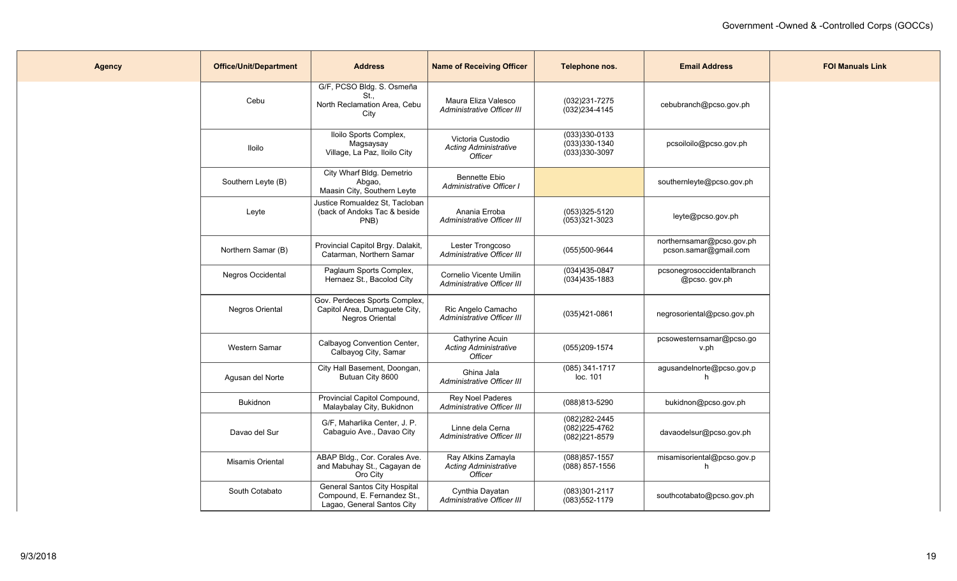| <b>Agency</b> | <b>Office/Unit/Department</b> | <b>Address</b>                                                                            | <b>Name of Receiving Officer</b>                                     | Telephone nos.                                          | <b>Email Address</b>                               | <b>FOI Manuals Link</b> |
|---------------|-------------------------------|-------------------------------------------------------------------------------------------|----------------------------------------------------------------------|---------------------------------------------------------|----------------------------------------------------|-------------------------|
|               | Cebu                          | G/F, PCSO Bldg. S. Osmeña<br>St.<br>North Reclamation Area, Cebu<br>City                  | Maura Eliza Valesco<br>Administrative Officer III                    | (032)231-7275<br>$(032)$ 234-4145                       | cebubranch@pcso.gov.ph                             |                         |
|               | <b>Iloilo</b>                 | Iloilo Sports Complex,<br>Magsaysay<br>Village, La Paz, Iloilo City                       | Victoria Custodio<br><b>Acting Administrative</b><br><b>Officer</b>  | (033)330-0133<br>$(033)330-1340$<br>(033)330-3097       | pcsoiloilo@pcso.gov.ph                             |                         |
|               | Southern Leyte (B)            | City Wharf Bldg. Demetrio<br>Abgao,<br>Maasin City, Southern Leyte                        | <b>Bennette Ebio</b><br>Administrative Officer I                     |                                                         | southernleyte@pcso.gov.ph                          |                         |
|               | Leyte                         | Justice Romualdez St, Tacloban<br>(back of Andoks Tac & beside<br>PNB)                    | Anania Erroba<br>Administrative Officer III                          | (053)325-5120<br>(053)321-3023                          | leyte@pcso.gov.ph                                  |                         |
|               | Northern Samar (B)            | Provincial Capitol Brgy. Dalakit,<br>Catarman, Northern Samar                             | Lester Trongcoso<br>Administrative Officer III                       | (055)500-9644                                           | northernsamar@pcso.gov.ph<br>pcson.samar@gmail.com |                         |
|               | <b>Negros Occidental</b>      | Paglaum Sports Complex,<br>Hernaez St., Bacolod City                                      | Cornelio Vicente Umilin<br>Administrative Officer III                | (034)435-0847<br>(034)435-1883                          | pcsonegrosoccidentalbranch<br>@pcso.gov.ph         |                         |
|               | Negros Oriental               | Gov. Perdeces Sports Complex,<br>Capitol Area, Dumaguete City,<br>Negros Oriental         | Ric Angelo Camacho<br>Administrative Officer III                     | (035)421-0861                                           | negrosoriental@pcso.gov.ph                         |                         |
|               | Western Samar                 | Calbayog Convention Center,<br>Calbayog City, Samar                                       | Cathyrine Acuin<br><b>Acting Administrative</b><br>Officer           | (055)209-1574                                           | pcsowesternsamar@pcso.go<br>v.ph                   |                         |
|               | Agusan del Norte              | City Hall Basement, Doongan,<br>Butuan City 8600                                          | Ghina Jala<br>Administrative Officer III                             | (085) 341-1717<br>loc. 101                              | agusandelnorte@pcso.gov.p<br>h                     |                         |
|               | <b>Bukidnon</b>               | Provincial Capitol Compound,<br>Malaybalay City, Bukidnon                                 | <b>Rey Noel Paderes</b><br>Administrative Officer III                | (088)813-5290                                           | bukidnon@pcso.gov.ph                               |                         |
|               | Davao del Sur                 | G/F, Maharlika Center, J. P.<br>Cabaguio Ave., Davao City                                 | Linne dela Cerna<br>Administrative Officer III                       | (082)282-2445<br>$(082)225 - 4762$<br>$(082)221 - 8579$ | davaodelsur@pcso.gov.ph                            |                         |
|               | Misamis Oriental              | ABAP Bldg., Cor. Corales Ave.<br>and Mabuhay St., Cagayan de<br>Oro City                  | Ray Atkins Zamayla<br><b>Acting Administrative</b><br><b>Officer</b> | (088) 857-1557<br>(088) 857-1556                        | misamisoriental@pcso.gov.p<br>h.                   |                         |
|               | South Cotabato                | General Santos City Hospital<br>Compound, E. Fernandez St.,<br>Lagao, General Santos City | Cynthia Dayatan<br>Administrative Officer III                        | (083)301-2117<br>$(083)552-1179$                        | southcotabato@pcso.gov.ph                          |                         |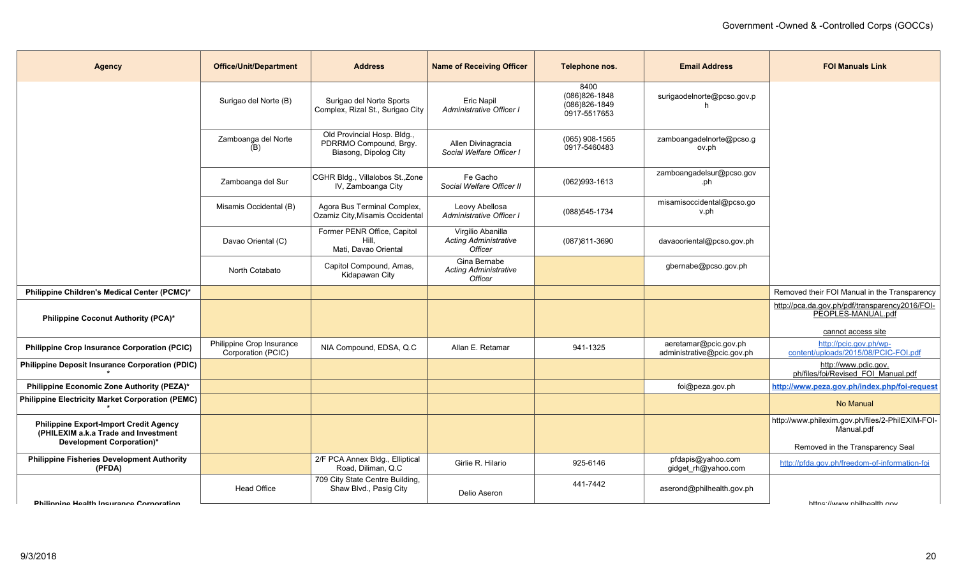|                                                 | <b>Address</b>                                                                 | <b>Name of Receiving Officer</b>                             | Telephone nos.                                              | <b>Email Address</b>                                | <b>FOI Manuals Link</b>                                                                    |
|-------------------------------------------------|--------------------------------------------------------------------------------|--------------------------------------------------------------|-------------------------------------------------------------|-----------------------------------------------------|--------------------------------------------------------------------------------------------|
| Surigao del Norte (B)                           | Surigao del Norte Sports<br>Complex, Rizal St., Surigao City                   | Eric Napil<br>Administrative Officer I                       | 8400<br>(086) 826-1848<br>$(086)826 - 1849$<br>0917-5517653 | surigaodelnorte@pcso.gov.p                          |                                                                                            |
| Zamboanga del Norte<br>(B)                      | Old Provincial Hosp. Bldg.,<br>PDRRMO Compound, Brgy.<br>Biasong, Dipolog City | Allen Divinagracia<br>Social Welfare Officer I               | $(065)$ 908-1565<br>0917-5460483                            | zamboangadelnorte@pcso.g<br>ov.ph                   |                                                                                            |
| Zamboanga del Sur                               | CGHR Bldg., Villalobos St., Zone<br>IV, Zamboanga City                         | Fe Gacho<br>Social Welfare Officer II                        | (062)993-1613                                               | zamboangadelsur@pcso.gov<br>.ph                     |                                                                                            |
| Misamis Occidental (B)                          | Agora Bus Terminal Complex,<br>Ozamiz City, Misamis Occidental                 | Leovy Abellosa<br>Administrative Officer I                   | (088) 545-1734                                              | misamisoccidental@pcso.go<br>v.ph                   |                                                                                            |
| Davao Oriental (C)                              | Former PENR Office, Capitol<br>Hill.<br>Mati. Davao Oriental                   | Virgilio Abanilla<br><b>Acting Administrative</b><br>Officer | (087)811-3690                                               | davaooriental@pcso.gov.ph                           |                                                                                            |
| North Cotabato                                  | Capitol Compound, Amas,<br>Kidapawan City                                      | Gina Bernabe<br><b>Acting Administrative</b><br>Officer      |                                                             | gbernabe@pcso.gov.ph                                |                                                                                            |
|                                                 |                                                                                |                                                              |                                                             |                                                     | Removed their FOI Manual in the Transparency                                               |
|                                                 |                                                                                |                                                              |                                                             |                                                     | http://pca.da.gov.ph/pdf/transparency2016/FOI-<br>PEOPLES-MANUAL.pdf<br>cannot access site |
| Philippine Crop Insurance<br>Corporation (PCIC) | NIA Compound, EDSA, Q.C                                                        | Allan E. Retamar                                             | 941-1325                                                    | aeretamar@pcic.gov.ph<br>administrative@pcic.gov.ph | http://pcic.gov.ph/wp-<br>content/uploads/2015/08/PCIC-FOI.pdf                             |
|                                                 |                                                                                |                                                              |                                                             |                                                     | http://www.pdic.gov.<br>ph/files/foi/Revised_FOI_Manual.pdf                                |
|                                                 |                                                                                |                                                              |                                                             | foi@peza.gov.ph                                     | http://www.peza.gov.ph/index.php/foi-request                                               |
|                                                 |                                                                                |                                                              |                                                             |                                                     | No Manual                                                                                  |
|                                                 |                                                                                |                                                              |                                                             |                                                     | http://www.philexim.gov.ph/files/2-PhilEXIM-FOI-<br>Manual.pdf                             |
|                                                 |                                                                                |                                                              |                                                             |                                                     | Removed in the Transparency Seal                                                           |
|                                                 | Road, Diliman, Q.C.                                                            | Girlie R. Hilario                                            | 925-6146                                                    | gidget_rh@yahoo.com                                 | http://pfda.gov.ph/freedom-of-information-foi                                              |
| <b>Head Office</b>                              | 709 City State Centre Building,<br>Shaw Blvd., Pasig City                      | Delio Aseron                                                 | 441-7442                                                    | aserond@philhealth.gov.ph                           | httne://www.nhilhaalth.nov                                                                 |
|                                                 | <b>Office/Unit/Department</b>                                                  | 2/F PCA Annex Bldg., Elliptical                              |                                                             |                                                     | pfdapis@yahoo.com                                                                          |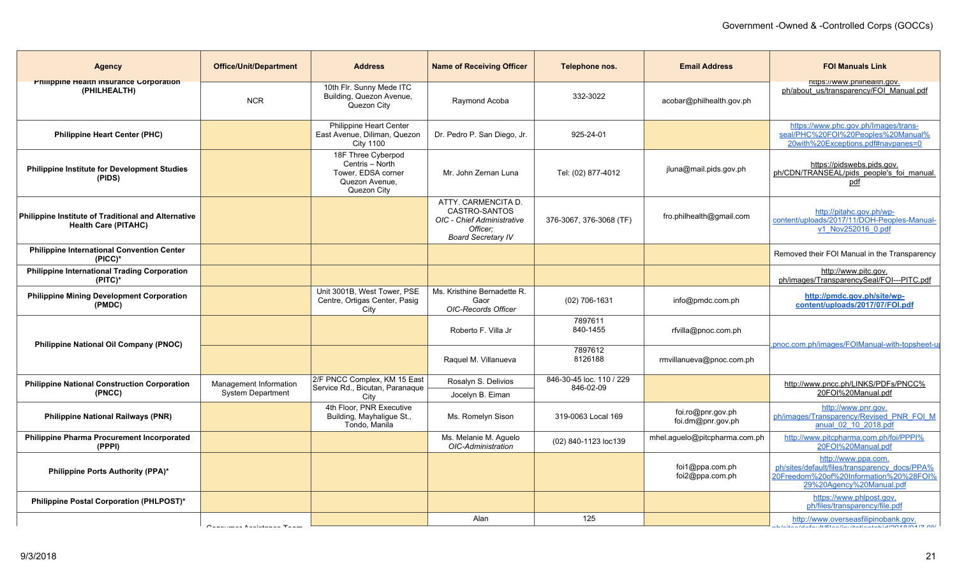| <b>Agency</b>                                                                      | <b>Office/Unit/Department</b> | <b>Address</b>                                                                               | <b>Name of Receiving Officer</b>                                                                            | Telephone nos.                        | <b>Email Address</b>                   | <b>FOI Manuals Link</b>                                                                                                                    |
|------------------------------------------------------------------------------------|-------------------------------|----------------------------------------------------------------------------------------------|-------------------------------------------------------------------------------------------------------------|---------------------------------------|----------------------------------------|--------------------------------------------------------------------------------------------------------------------------------------------|
| Philippine Health Insurance Corporation<br>(PHILHEALTH)                            | <b>NCR</b>                    | 10th Flr. Sunny Mede ITC<br>Building, Quezon Avenue,<br>Quezon City                          | Raymond Acoba                                                                                               | 332-3022                              | acobar@philhealth.gov.ph               | nttps://www.philnealth.gov.<br>ph/about us/transparency/FOI Manual.pdf                                                                     |
| <b>Philippine Heart Center (PHC)</b>                                               |                               | Philippine Heart Center<br>East Avenue, Diliman, Quezon<br><b>City 1100</b>                  | Dr. Pedro P. San Diego, Jr.                                                                                 | 925-24-01                             |                                        | https://www.phc.gov.ph/Images/trans-<br>seal/PHC%20FOI%20Peoples%20Manual%<br>20with%20Exceptions.pdf#navpanes=0                           |
| <b>Philippine Institute for Development Studies</b><br>(PIDS)                      |                               | 18F Three Cyberpod<br>Centris - North<br>Tower. EDSA corner<br>Quezon Avenue.<br>Quezon City | Mr. John Zernan Luna                                                                                        | Tel: (02) 877-4012                    | jluna@mail.pids.gov.ph                 | https://pidswebs.pids.gov.<br>ph/CDN/TRANSEAL/pids_people's_foi_manual.<br>pdf                                                             |
| Philippine Institute of Traditional and Alternative<br><b>Health Care (PITAHC)</b> |                               |                                                                                              | ATTY. CARMENCITA D.<br>CASTRO-SANTOS<br>OIC - Chief Administrative<br>Officer:<br><b>Board Secretary IV</b> | 376-3067, 376-3068 (TF)               | fro.philhealth@gmail.com               | http://pitahc.gov.ph/wp-<br>content/uploads/2017/11/DOH-Peoples-Manual-<br>v1 Nov252016 0.pdf                                              |
| <b>Philippine International Convention Center</b><br>$(PICC)^*$                    |                               |                                                                                              |                                                                                                             |                                       |                                        | Removed their FOI Manual in the Transparency                                                                                               |
| <b>Philippine International Trading Corporation</b><br>$(PITC)^*$                  |                               |                                                                                              |                                                                                                             |                                       |                                        | http://www.pitc.gov.<br>ph/images/TransparencySeal/FOI---PITC.pdf                                                                          |
| <b>Philippine Mining Development Corporation</b><br>(PMDC)                         |                               | Unit 3001B, West Tower, PSE<br>Centre, Ortigas Center, Pasig<br>City                         | Ms. Kristhine Bernadette R.<br>Gaor<br><b>OIC-Records Officer</b>                                           | (02) 706-1631                         | info@pmdc.com.ph                       | http://pmdc.gov.ph/site/wp-<br>content/uploads/2017/07/FOI.pdf                                                                             |
|                                                                                    |                               |                                                                                              | Roberto F. Villa Jr                                                                                         | 7897611<br>840-1455                   | rfvilla@pnoc.com.ph                    | pnoc.com.ph/images/FOIManual-with-topsheet-up                                                                                              |
| Philippine National Oil Company (PNOC)                                             |                               |                                                                                              | Raquel M. Villanueva                                                                                        | 7897612<br>8126188                    | rmvillanueva@pnoc.com.ph               |                                                                                                                                            |
| <b>Philippine National Construction Corporation</b>                                | Management Information        | 2/F PNCC Complex. KM 15 East<br>Service Rd., Bicutan, Paranaque                              | Rosalyn S. Delivios                                                                                         | 846-30-45 loc. 110 / 229<br>846-02-09 |                                        | http://www.pncc.ph/LINKS/PDFs/PNCC%                                                                                                        |
| (PNCC)                                                                             | <b>System Department</b>      | City                                                                                         | Jocelyn B. Eiman                                                                                            |                                       |                                        | 20FOI%20Manual.pdf                                                                                                                         |
| <b>Philippine National Railways (PNR)</b>                                          |                               | 4th Floor, PNR Executive<br>Building, Mayhaligue St.,<br>Tondo, Manila                       | Ms. Romelyn Sison                                                                                           | 319-0063 Local 169                    | foi.ro@pnr.gov.ph<br>foi.dm@pnr.gov.ph | http://www.pnr.gov.<br>ph/images/Transparency/Revised PNR FOI M<br>anual 02 10 2018.pdf                                                    |
| <b>Philippine Pharma Procurement Incorporated</b><br>(PPPI)                        |                               |                                                                                              | Ms. Melanie M. Aguelo<br>OIC-Administration                                                                 | (02) 840-1123 loc139                  | mhel.aguelo@pitcpharma.com.ph          | http://www.pitcpharma.com.ph/foi/PPPI%<br>20FOI%20Manual.pdf                                                                               |
| <b>Philippine Ports Authority (PPA)*</b>                                           |                               |                                                                                              |                                                                                                             |                                       | foi1@ppa.com.ph<br>foi2@ppa.com.ph     | http://www.ppa.com.<br>ph/sites/default/files/transparency_docs/PPA%<br>20Freedom%20of%20Information%20%28FOI%<br>29%20Agency%20Manual.pdf |
| Philippine Postal Corporation (PHLPOST)*                                           |                               |                                                                                              |                                                                                                             |                                       |                                        | https://www.phlpost.gov.<br>ph/files/transparency/file.pdf                                                                                 |
|                                                                                    | Occasional Analatanan Tanga   |                                                                                              | Alan                                                                                                        | 125                                   |                                        | http://www.overseasfilipinobank.gov.<br><b>CONTRACTO DE CONTRACTO DE LA CALIFICATIVA DE NO</b>                                             |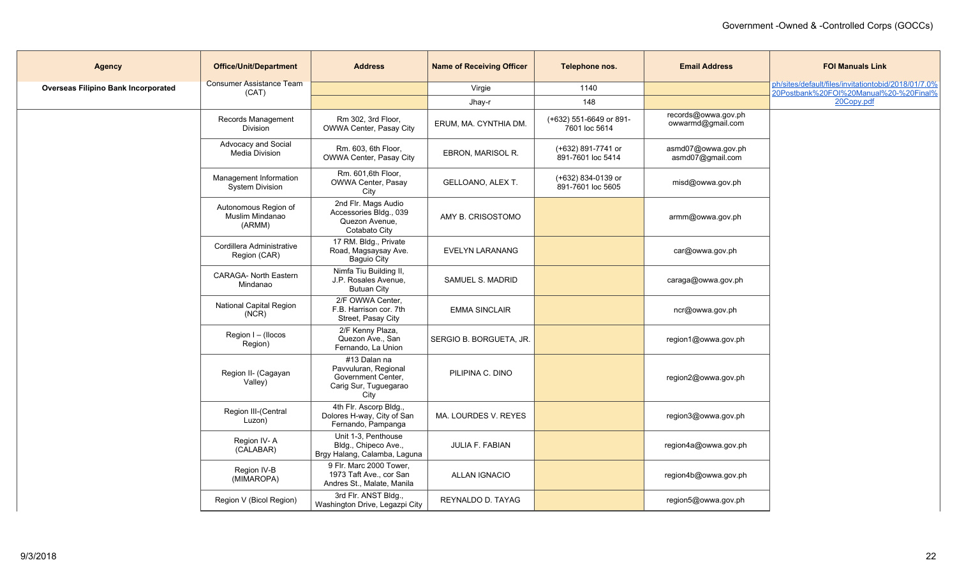| <b>Agency</b>                              | <b>Office/Unit/Department</b>                     | <b>Address</b>                                                                              | <b>Name of Receiving Officer</b> | Telephone nos.                           | <b>Email Address</b>                     | <b>FOI Manuals Link</b>                                                                       |
|--------------------------------------------|---------------------------------------------------|---------------------------------------------------------------------------------------------|----------------------------------|------------------------------------------|------------------------------------------|-----------------------------------------------------------------------------------------------|
| <b>Overseas Filipino Bank Incorporated</b> | <b>Consumer Assistance Team</b><br>(CAT)          |                                                                                             | Virgie                           | 1140                                     |                                          | ph/sites/default/files/invitationtobid/2018/01/7.0%<br>20Postbank%20FOI%20Manual%20-%20Final% |
|                                            |                                                   |                                                                                             | Jhay-r                           | 148                                      |                                          | 20Copy.pdf                                                                                    |
|                                            | Records Management<br>Division                    | Rm 302, 3rd Floor,<br>OWWA Center, Pasay City                                               | ERUM, MA. CYNTHIA DM.            | (+632) 551-6649 or 891-<br>7601 loc 5614 | records@owwa.gov.ph<br>owwarmd@gmail.com |                                                                                               |
|                                            | Advocacy and Social<br>Media Division             | Rm. 603, 6th Floor,<br>OWWA Center, Pasay City                                              | EBRON, MARISOL R.                | (+632) 891-7741 or<br>891-7601 loc 5414  | asmd07@owwa.gov.ph<br>asmd07@gmail.com   |                                                                                               |
|                                            | Management Information<br>System Division         | Rm. 601,6th Floor,<br>OWWA Center, Pasay<br>City                                            | <b>GELLOANO, ALEX T.</b>         | (+632) 834-0139 or<br>891-7601 loc 5605  | misd@owwa.gov.ph                         |                                                                                               |
|                                            | Autonomous Region of<br>Muslim Mindanao<br>(ARMM) | 2nd Flr. Mags Audio<br>Accessories Bldg., 039<br>Quezon Avenue,<br>Cotabato City            | AMY B. CRISOSTOMO                |                                          | armm@owwa.gov.ph                         |                                                                                               |
|                                            | Cordillera Administrative<br>Region (CAR)         | 17 RM. Bldg., Private<br>Road, Magsaysay Ave.<br>Baguio City                                | EVELYN LARANANG                  |                                          | car@owwa.gov.ph                          |                                                                                               |
|                                            | <b>CARAGA- North Eastern</b><br>Mindanao          | Nimfa Tiu Building II,<br>J.P. Rosales Avenue,<br><b>Butuan City</b>                        | SAMUEL S. MADRID                 |                                          | caraga@owwa.gov.ph                       |                                                                                               |
|                                            | National Capital Region<br>(NCR)                  | 2/F OWWA Center,<br>F.B. Harrison cor. 7th<br>Street, Pasay City                            | <b>EMMA SINCLAIR</b>             |                                          | ncr@owwa.gov.ph                          |                                                                                               |
|                                            | Region I - (Ilocos<br>Region)                     | 2/F Kenny Plaza,<br>Quezon Ave., San<br>Fernando, La Union                                  | SERGIO B. BORGUETA, JR.          |                                          | region1@owwa.gov.ph                      |                                                                                               |
|                                            | Region II- (Cagayan<br>Valley)                    | #13 Dalan na<br>Pavvuluran, Regional<br>Government Center,<br>Carig Sur, Tuguegarao<br>City | PILIPINA C. DINO                 |                                          | region2@owwa.gov.ph                      |                                                                                               |
|                                            | Region III-(Central<br>Luzon)                     | 4th Flr. Ascorp Bldg.<br>Dolores H-way, City of San<br>Fernando, Pampanga                   | MA. LOURDES V. REYES             |                                          | region3@owwa.gov.ph                      |                                                                                               |
|                                            | Region IV-A<br>(CALABAR)                          | Unit 1-3, Penthouse<br>Bldg., Chipeco Ave.,<br>Brgy Halang, Calamba, Laguna                 | JULIA F. FABIAN                  |                                          | region4a@owwa.gov.ph                     |                                                                                               |
|                                            | Region IV-B<br>(MIMAROPA)                         | 9 Flr. Marc 2000 Tower,<br>1973 Taft Ave., cor San<br>Andres St., Malate, Manila            | <b>ALLAN IGNACIO</b>             |                                          | region4b@owwa.gov.ph                     |                                                                                               |
|                                            | Region V (Bicol Region)                           | 3rd Flr. ANST Bldg.,<br>Washington Drive, Legazpi City                                      | REYNALDO D. TAYAG                |                                          | region5@owwa.gov.ph                      |                                                                                               |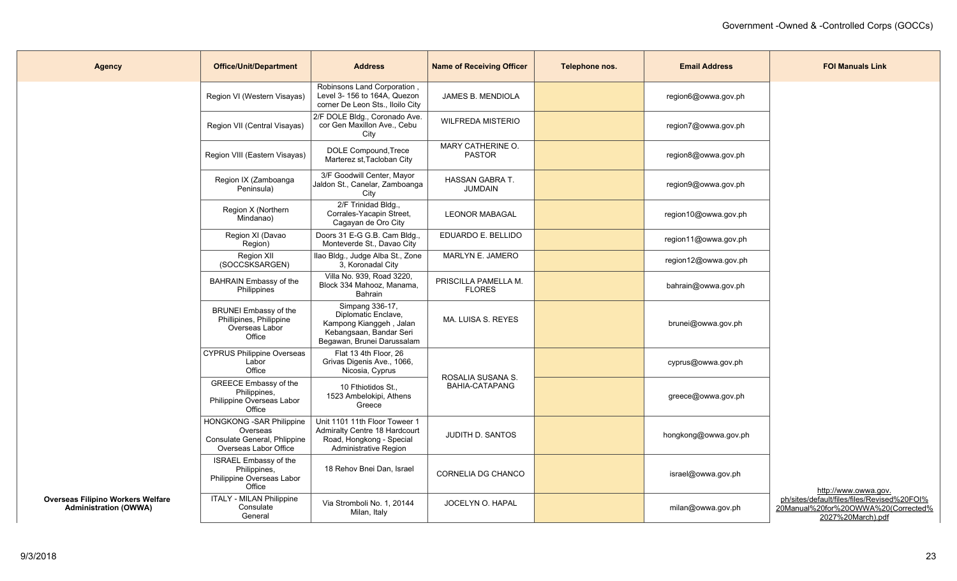| <b>Agency</b>                                                            | <b>Office/Unit/Department</b>                                                                         | <b>Address</b>                                                                                                             | <b>Name of Receiving Officer</b>           | Telephone nos. | <b>Email Address</b> | <b>FOI Manuals Link</b>                                                                                 |
|--------------------------------------------------------------------------|-------------------------------------------------------------------------------------------------------|----------------------------------------------------------------------------------------------------------------------------|--------------------------------------------|----------------|----------------------|---------------------------------------------------------------------------------------------------------|
|                                                                          | Region VI (Western Visayas)                                                                           | Robinsons Land Corporation,<br>Level 3-156 to 164A, Quezon<br>corner De Leon Sts., Iloilo City                             | <b>JAMES B. MENDIOLA</b>                   |                | region6@owwa.gov.ph  |                                                                                                         |
|                                                                          | Region VII (Central Visayas)                                                                          | 2/F DOLE Bldg., Coronado Ave.<br>cor Gen Maxillon Ave., Cebu<br>City                                                       | <b>WILFREDA MISTERIO</b>                   |                | region7@owwa.gov.ph  |                                                                                                         |
|                                                                          | Region VIII (Eastern Visayas)                                                                         | DOLE Compound, Trece<br>Marterez st. Tacloban City                                                                         | MARY CATHERINE O.<br><b>PASTOR</b>         |                | region8@owwa.gov.ph  |                                                                                                         |
|                                                                          | Region IX (Zamboanga<br>Peninsula)                                                                    | 3/F Goodwill Center, Mayor<br>Jaldon St., Canelar, Zamboanga<br>City                                                       | <b>HASSAN GABRA T.</b><br><b>JUMDAIN</b>   |                | region9@owwa.gov.ph  |                                                                                                         |
|                                                                          | Region X (Northern<br>Mindanao)                                                                       | 2/F Trinidad Bldg.,<br>Corrales-Yacapin Street,<br>Cagayan de Oro City                                                     | <b>LEONOR MABAGAL</b>                      |                | region10@owwa.gov.ph |                                                                                                         |
|                                                                          | Region XI (Davao<br>Region)                                                                           | Doors 31 E-G G.B. Cam Bldg.,<br>Monteverde St., Davao City                                                                 | EDUARDO E. BELLIDO                         |                | region11@owwa.gov.ph |                                                                                                         |
|                                                                          | Region XII<br>(SOCCSKSARGEN)                                                                          | Ilao Bldg., Judge Alba St., Zone<br>3, Koronadal City                                                                      | <b>MARLYN E. JAMERO</b>                    |                | region12@owwa.gov.ph |                                                                                                         |
|                                                                          | <b>BAHRAIN Embassy of the</b><br>Philippines                                                          | Villa No. 939, Road 3220,<br>Block 334 Mahooz, Manama,<br>Bahrain                                                          | PRISCILLA PAMELLA M.<br><b>FLORES</b>      |                | bahrain@owwa.gov.ph  |                                                                                                         |
|                                                                          | <b>BRUNEI Embassy of the</b><br>Phillipines, Philippine<br>Overseas Labor<br>Office                   | Simpang 336-17,<br>Diplomatic Enclave,<br>Kampong Kianggeh, Jalan<br>Kebangsaan, Bandar Seri<br>Begawan, Brunei Darussalam | MA, LUISA S, REYES                         |                | brunei@owwa.gov.ph   |                                                                                                         |
|                                                                          | <b>CYPRUS Philippine Overseas</b><br>Labor<br>Office                                                  | Flat 13 4th Floor, 26<br>Grivas Digenis Ave., 1066,<br>Nicosia, Cyprus                                                     |                                            |                | cyprus@owwa.gov.ph   |                                                                                                         |
|                                                                          | GREECE Embassy of the<br>Philippines,<br>Philippine Overseas Labor<br>Office                          | 10 Fthiotidos St.,<br>1523 Ambelokipi, Athens<br>Greece                                                                    | ROSALIA SUSANA S.<br><b>BAHIA-CATAPANG</b> |                | greece@owwa.gov.ph   |                                                                                                         |
|                                                                          | <b>HONGKONG - SAR Philippine</b><br>Overseas<br>Consulate General, Phlippine<br>Overseas Labor Office | Unit 1101 11th Floor Toweer 1<br>Admiralty Centre 18 Hardcourt<br>Road, Hongkong - Special<br>Administrative Region        | <b>JUDITH D. SANTOS</b>                    |                | hongkong@owwa.gov.ph |                                                                                                         |
|                                                                          | ISRAEL Embassy of the<br>Philippines,<br>Philippine Overseas Labor<br>Office                          | 18 Rehov Bnei Dan, Israel                                                                                                  | CORNELIA DG CHANCO                         |                | israel@owwa.gov.ph   | http://www.owwa.gov.                                                                                    |
| <b>Overseas Filipino Workers Welfare</b><br><b>Administration (OWWA)</b> | <b>ITALY - MILAN Philippine</b><br>Consulate<br>General                                               | Via Stromboli No. 1, 20144<br>Milan, Italy                                                                                 | JOCELYN O. HAPAL                           |                | milan@owwa.gov.ph    | ph/sites/default/files/files/Revised%20FOI%<br>20Manual%20for%20OWWA%20(Corrected%<br>2027%20March).pdf |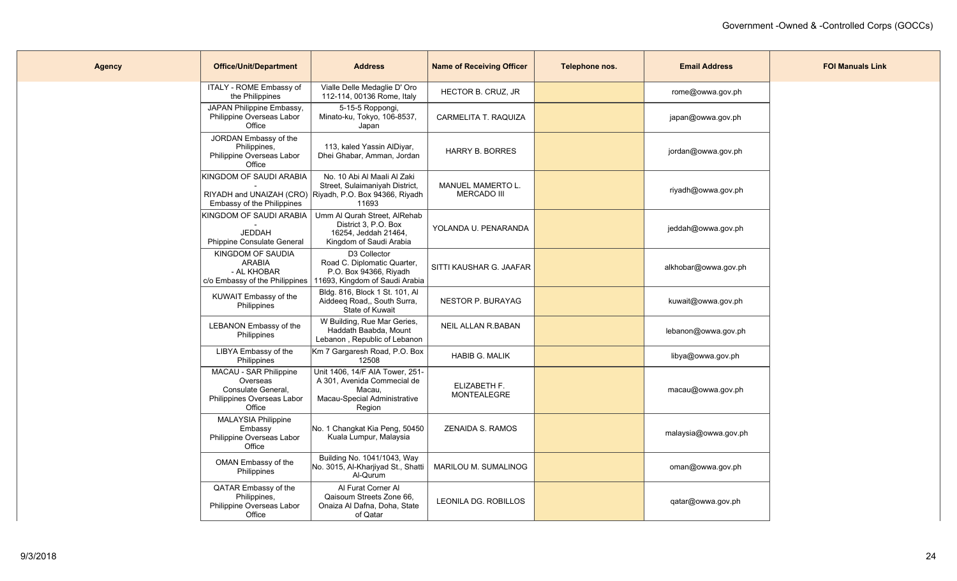| <b>Agency</b> | <b>Office/Unit/Department</b>                                                                    | <b>Address</b>                                                                                                                    | <b>Name of Receiving Officer</b>               | Telephone nos. | <b>Email Address</b> | <b>FOI Manuals Link</b> |
|---------------|--------------------------------------------------------------------------------------------------|-----------------------------------------------------------------------------------------------------------------------------------|------------------------------------------------|----------------|----------------------|-------------------------|
|               | ITALY - ROME Embassy of<br>the Philippines                                                       | Vialle Delle Medaglie D' Oro<br>112-114, 00136 Rome, Italy                                                                        | HECTOR B. CRUZ, JR                             |                | rome@owwa.gov.ph     |                         |
|               | JAPAN Philippine Embassy,<br>Philippine Overseas Labor<br>Office                                 | 5-15-5 Roppongi,<br>Minato-ku, Tokyo, 106-8537,<br>Japan                                                                          | CARMELITA T. RAQUIZA                           |                | japan@owwa.gov.ph    |                         |
|               | JORDAN Embassy of the<br>Philippines,<br>Philippine Overseas Labor<br>Office                     | 113, kaled Yassin AlDiyar,<br>Dhei Ghabar, Amman, Jordan                                                                          | <b>HARRY B. BORRES</b>                         |                | jordan@owwa.gov.ph   |                         |
|               | KINGDOM OF SAUDI ARABIA<br>Embassy of the Philippines                                            | No. 10 Abi Al Maali Al Zaki<br>Street, Sulaimaniyah District,<br>RIYADH and UNAIZAH (CRO) Riyadh, P.O. Box 94366, Riyadh<br>11693 | <b>MANUEL MAMERTO L.</b><br><b>MERCADO III</b> |                | riyadh@owwa.gov.ph   |                         |
|               | KINGDOM OF SAUDI ARABIA<br><b>JEDDAH</b><br>Phippine Consulate General                           | Umm Al Qurah Street, AlRehab<br>District 3, P.O. Box<br>16254, Jeddah 21464,<br>Kingdom of Saudi Arabia                           | YOLANDA U. PENARANDA                           |                | jeddah@owwa.gov.ph   |                         |
|               | KINGDOM OF SAUDIA<br><b>ARABIA</b><br>- AL KHOBAR<br>c/o Embassy of the Philippines              | D3 Collector<br>Road C. Diplomatic Quarter,<br>P.O. Box 94366, Rivadh<br>11693, Kingdom of Saudi Arabia                           | SITTI KAUSHAR G. JAAFAR                        |                | alkhobar@owwa.gov.ph |                         |
|               | KUWAIT Embassy of the<br>Philippines                                                             | Bldg. 816, Block 1 St. 101, Al<br>Aiddeeq Road,, South Surra,<br>State of Kuwait                                                  | <b>NESTOR P. BURAYAG</b>                       |                | kuwait@owwa.gov.ph   |                         |
|               | LEBANON Embassy of the<br>Philippines                                                            | W Building, Rue Mar Geries,<br>Haddath Baabda, Mount<br>Lebanon, Republic of Lebanon                                              | <b>NEIL ALLAN R.BABAN</b>                      |                | lebanon@owwa.gov.ph  |                         |
|               | LIBYA Embassy of the<br>Philippines                                                              | Km 7 Gargaresh Road, P.O. Box<br>12508                                                                                            | <b>HABIB G. MALIK</b>                          |                | libya@owwa.gov.ph    |                         |
|               | MACAU - SAR Philippine<br>Overseas<br>Consulate General,<br>Philippines Overseas Labor<br>Office | Unit 1406, 14/F AIA Tower, 251-<br>A 301, Avenida Commecial de<br>Macau,<br>Macau-Special Administrative<br>Region                | ELIZABETH F.<br><b>MONTEALEGRE</b>             |                | macau@owwa.gov.ph    |                         |
|               | <b>MALAYSIA Philippine</b><br>Embassy<br>Philippine Overseas Labor<br>Office                     | No. 1 Changkat Kia Peng, 50450<br>Kuala Lumpur, Malaysia                                                                          | <b>ZENAIDA S. RAMOS</b>                        |                | malaysia@owwa.gov.ph |                         |
|               | OMAN Embassy of the<br>Philippines                                                               | Building No. 1041/1043, Way<br>No. 3015, Al-Kharjiyad St., Shatti<br>Al-Qurum                                                     | MARILOU M. SUMALINOG                           |                | oman@owwa.gov.ph     |                         |
|               | QATAR Embassy of the<br>Philippines,<br>Philippine Overseas Labor<br>Office                      | Al Furat Corner Al<br>Qaisoum Streets Zone 66.<br>Onaiza Al Dafna, Doha, State<br>of Qatar                                        | <b>LEONILA DG. ROBILLOS</b>                    |                | qatar@owwa.gov.ph    |                         |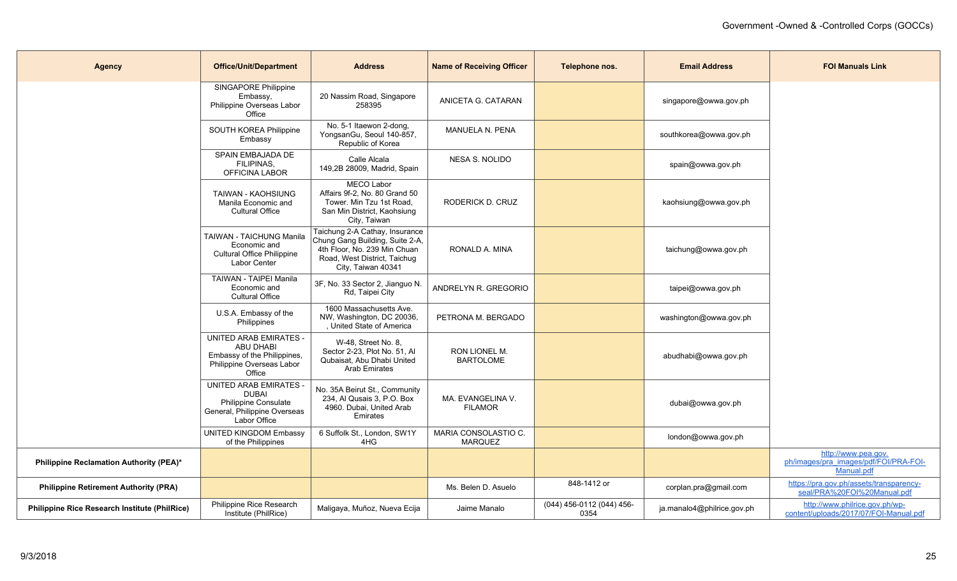| <b>Agency</b>                                        | <b>Office/Unit/Department</b>                                                                                           | <b>Address</b>                                                                                                                                          | <b>Name of Receiving Officer</b>       | Telephone nos.                    | <b>Email Address</b>       | <b>FOI Manuals Link</b>                                                    |
|------------------------------------------------------|-------------------------------------------------------------------------------------------------------------------------|---------------------------------------------------------------------------------------------------------------------------------------------------------|----------------------------------------|-----------------------------------|----------------------------|----------------------------------------------------------------------------|
|                                                      | SINGAPORE Philippine<br>Embassy,<br>Philippine Overseas Labor<br>Office                                                 | 20 Nassim Road, Singapore<br>258395                                                                                                                     | ANICETA G. CATARAN                     |                                   | singapore@owwa.gov.ph      |                                                                            |
|                                                      | SOUTH KOREA Philippine<br>Embassy                                                                                       | No. 5-1 Itaewon 2-dong,<br>YongsanGu, Seoul 140-857,<br>Republic of Korea                                                                               | <b>MANUELA N. PENA</b>                 |                                   | southkorea@owwa.gov.ph     |                                                                            |
|                                                      | SPAIN EMBAJADA DE<br>FILIPINAS,<br>OFFICINA LABOR                                                                       | Calle Alcala<br>149,2B 28009, Madrid, Spain                                                                                                             | <b>NESA S. NOLIDO</b>                  |                                   | spain@owwa.gov.ph          |                                                                            |
|                                                      | <b>TAIWAN - KAOHSIUNG</b><br>Manila Economic and<br><b>Cultural Office</b>                                              | <b>MECO Labor</b><br>Affairs 9f-2, No. 80 Grand 50<br>Tower. Min Tzu 1st Road,<br>San Min District, Kaohsiung<br>City, Taiwan                           | RODERICK D. CRUZ                       |                                   | kaohsiung@owwa.gov.ph      |                                                                            |
|                                                      | TAIWAN - TAICHUNG Manila<br>Economic and<br><b>Cultural Office Philippine</b><br>Labor Center                           | Taichung 2-A Cathay, Insurance<br>Chung Gang Building, Suite 2-A,<br>4th Floor, No. 239 Min Chuan<br>Road, West District, Taichug<br>City, Taiwan 40341 | RONALD A. MINA                         |                                   | taichung@owwa.gov.ph       |                                                                            |
|                                                      | <b>TAIWAN - TAIPEI Manila</b><br>Economic and<br><b>Cultural Office</b>                                                 | 3F, No. 33 Sector 2, Jianguo N.<br>Rd, Taipei City                                                                                                      | ANDRELYN R. GREGORIO                   |                                   | taipei@owwa.gov.ph         |                                                                            |
|                                                      | U.S.A. Embassy of the<br>Philippines                                                                                    | 1600 Massachusetts Ave.<br>NW, Washington, DC 20036,<br>, United State of America                                                                       | PETRONA M. BERGADO                     |                                   | washington@owwa.gov.ph     |                                                                            |
|                                                      | <b>UNITED ARAB EMIRATES -</b><br><b>ABU DHABI</b><br>Embassy of the Philippines,<br>Philippine Overseas Labor<br>Office | W-48, Street No. 8,<br>Sector 2-23, Plot No. 51, Al<br>Qubaisat, Abu Dhabi United<br><b>Arab Emirates</b>                                               | RON LIONEL M.<br><b>BARTOLOME</b>      |                                   | abudhabi@owwa.gov.ph       |                                                                            |
|                                                      | UNITED ARAB EMIRATES<br><b>DUBAI</b><br>Philippine Consulate<br>General, Philippine Overseas<br>Labor Office            | No. 35A Beirut St., Community<br>234, Al Qusais 3, P.O. Box<br>4960. Dubai, United Arab<br>Emirates                                                     | MA. EVANGELINA V.<br><b>FILAMOR</b>    |                                   | dubai@owwa.gov.ph          |                                                                            |
|                                                      | <b>UNITED KINGDOM Embassy</b><br>of the Philippines                                                                     | 6 Suffolk St., London, SW1Y<br>4HG                                                                                                                      | MARIA CONSOLASTIO C.<br><b>MARQUEZ</b> |                                   | london@owwa.gov.ph         |                                                                            |
| Philippine Reclamation Authority (PEA)*              |                                                                                                                         |                                                                                                                                                         |                                        |                                   |                            | http://www.pea.gov.<br>ph/images/pra_images/pdf/FOI/PRA-FOI-<br>Manual.pdf |
| <b>Philippine Retirement Authority (PRA)</b>         |                                                                                                                         |                                                                                                                                                         | Ms. Belen D. Asuelo                    | 848-1412 or                       | corplan.pra@gmail.com      | https://pra.gov.ph/assets/transparency-<br>seal/PRA%20FOI%20Manual.pdf     |
| <b>Philippine Rice Research Institute (PhilRice)</b> | Philippine Rice Research<br>Institute (PhilRice)                                                                        | Maligaya, Muñoz, Nueva Ecija                                                                                                                            | Jaime Manalo                           | (044) 456-0112 (044) 456-<br>0354 | ja.manalo4@philrice.gov.ph | http://www.philrice.gov.ph/wp-<br>content/uploads/2017/07/FOI-Manual.pdf   |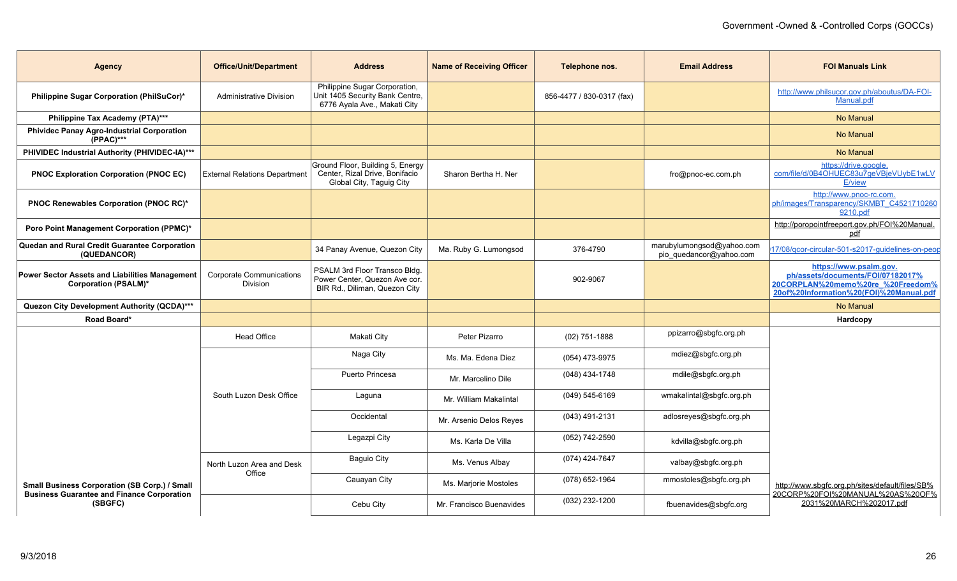| <b>Agency</b>                                                          | <b>Office/Unit/Department</b>               | <b>Address</b>                                                                                   | <b>Name of Receiving Officer</b> | Telephone nos.            | <b>Email Address</b>                                 | <b>FOI Manuals Link</b>                                                                                                                     |
|------------------------------------------------------------------------|---------------------------------------------|--------------------------------------------------------------------------------------------------|----------------------------------|---------------------------|------------------------------------------------------|---------------------------------------------------------------------------------------------------------------------------------------------|
| <b>Philippine Sugar Corporation (PhilSuCor)*</b>                       | Administrative Division                     | Philippine Sugar Corporation,<br>Unit 1405 Security Bank Centre,<br>6776 Ayala Ave., Makati City |                                  | 856-4477 / 830-0317 (fax) |                                                      | http://www.philsucor.gov.ph/aboutus/DA-FOI-<br>Manual.pdf                                                                                   |
| Philippine Tax Academy (PTA)***                                        |                                             |                                                                                                  |                                  |                           |                                                      | No Manual                                                                                                                                   |
| <b>Phividec Panay Agro-Industrial Corporation</b><br>(PPAC)***         |                                             |                                                                                                  |                                  |                           |                                                      | No Manual                                                                                                                                   |
| PHIVIDEC Industrial Authority (PHIVIDEC-IA)***                         |                                             |                                                                                                  |                                  |                           |                                                      | No Manual                                                                                                                                   |
| <b>PNOC Exploration Corporation (PNOC EC)</b>                          | <b>External Relations Department</b>        | Ground Floor, Building 5, Energy<br>Center, Rizal Drive, Bonifacio<br>Global City, Taguig City   | Sharon Bertha H. Ner             |                           | fro@pnoc-ec.com.ph                                   | https://drive.google.<br>com/file/d/0B4OHUEC83u7geVBjeVUybE1wLV<br><b>E/view</b>                                                            |
| PNOC Renewables Corporation (PNOC RC)*                                 |                                             |                                                                                                  |                                  |                           |                                                      | http://www.pnoc-rc.com.<br>ph/images/Transparency/SKMBT_C4521710260<br>9210.pdf                                                             |
| Poro Point Management Corporation (PPMC)*                              |                                             |                                                                                                  |                                  |                           |                                                      | http://poropointfreeport.gov.ph/FOI%20Manual.<br>pdf                                                                                        |
| Quedan and Rural Credit Guarantee Corporation<br>(QUEDANCOR)           |                                             | 34 Panay Avenue, Quezon City                                                                     | Ma. Ruby G. Lumongsod            | 376-4790                  | marubylumongsod@yahoo.com<br>pio_quedancor@yahoo.com | 17/08/gcor-circular-501-s2017-guidelines-on-peop                                                                                            |
| Power Sector Assets and Liabilities Management<br>Corporation (PSALM)* | <b>Corporate Communications</b><br>Division | PSALM 3rd Floor Transco Bldg.<br>Power Center, Quezon Ave cor.<br>BIR Rd., Diliman, Quezon City  |                                  | 902-9067                  |                                                      | https://www.psalm.gov.<br>ph/assets/documents/FOI/07182017%<br>20CORPLAN%20memo%20re %20Freedom%<br>20of%20Information%20(FOI)%20Manual.pdf |
| Quezon City Development Authority (QCDA)***                            |                                             |                                                                                                  |                                  |                           |                                                      | No Manual                                                                                                                                   |
| Road Board*                                                            |                                             |                                                                                                  |                                  |                           |                                                      | Hardcopy                                                                                                                                    |
|                                                                        | <b>Head Office</b>                          | Makati City                                                                                      | Peter Pizarro                    | $(02)$ 751-1888           | ppizarro@sbgfc.org.ph                                |                                                                                                                                             |
|                                                                        |                                             | Naga City                                                                                        | Ms. Ma. Edena Diez               | (054) 473-9975            | mdiez@sbgfc.org.ph                                   |                                                                                                                                             |
|                                                                        |                                             | Puerto Princesa                                                                                  | Mr. Marcelino Dile               | (048) 434-1748            | mdile@sbgfc.org.ph                                   |                                                                                                                                             |
|                                                                        | South Luzon Desk Office                     | Laguna                                                                                           | Mr. William Makalintal           | $(049) 545 - 6169$        | wmakalintal@sbgfc.org.ph                             |                                                                                                                                             |
|                                                                        |                                             | Occidental                                                                                       | Mr. Arsenio Delos Reyes          | (043) 491-2131            | adlosreyes@sbgfc.org.ph                              |                                                                                                                                             |
|                                                                        |                                             | Legazpi City                                                                                     | Ms. Karla De Villa               | (052) 742-2590            | kdvilla@sbgfc.org.ph                                 |                                                                                                                                             |
|                                                                        | North Luzon Area and Desk                   | <b>Baguio City</b>                                                                               | Ms. Venus Albay                  | (074) 424-7647            | valbay@sbgfc.org.ph                                  |                                                                                                                                             |
| <b>Small Business Corporation (SB Corp.) / Small</b>                   | Office                                      | Cauayan City                                                                                     | Ms. Marjorie Mostoles            | (078) 652-1964            | mmostoles@sbgfc.org.ph                               | http://www.sbgfc.org.ph/sites/default/files/SB%                                                                                             |
| <b>Business Guarantee and Finance Corporation</b><br>(SBGFC)           |                                             | Cebu City                                                                                        | Mr. Francisco Buenavides         | (032) 232-1200            | fbuenavides@sbgfc.org                                | 20CORP%20FOI%20MANUAL%20AS%20OF%<br>2031%20MARCH%202017.pdf                                                                                 |
|                                                                        |                                             |                                                                                                  |                                  |                           |                                                      |                                                                                                                                             |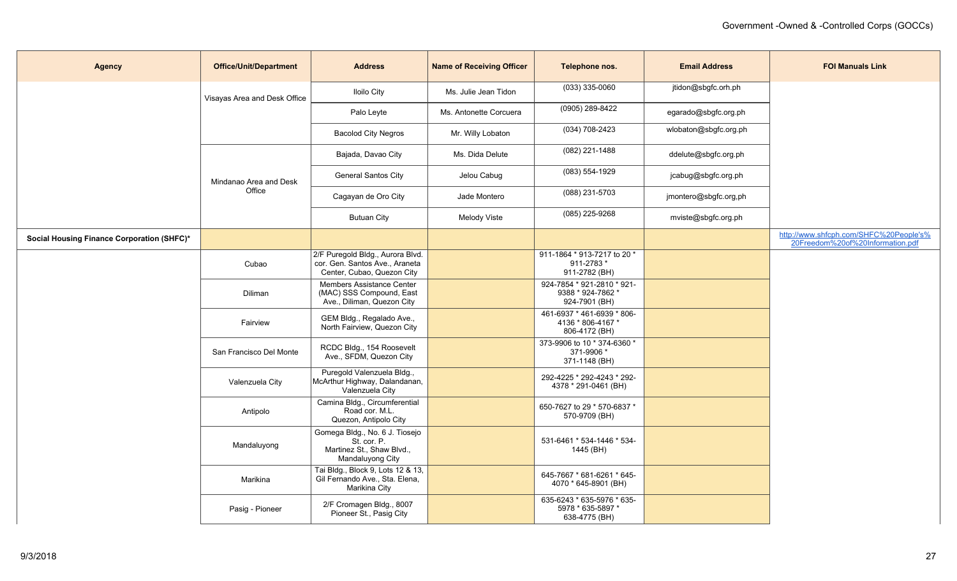| <b>Agency</b>                              | <b>Office/Unit/Department</b> | <b>Address</b>                                                                                   | <b>Name of Receiving Officer</b> | Telephone nos.                                                   | <b>Email Address</b>  | <b>FOI Manuals Link</b>                                                    |
|--------------------------------------------|-------------------------------|--------------------------------------------------------------------------------------------------|----------------------------------|------------------------------------------------------------------|-----------------------|----------------------------------------------------------------------------|
|                                            | Visayas Area and Desk Office  | <b>Iloilo City</b>                                                                               | Ms. Julie Jean Tidon             | $(033)$ 335-0060                                                 | jtidon@sbgfc.orh.ph   |                                                                            |
|                                            |                               | Palo Leyte                                                                                       | Ms. Antonette Corcuera           | (0905) 289-8422                                                  | egarado@sbgfc.org.ph  |                                                                            |
|                                            |                               | <b>Bacolod City Negros</b>                                                                       | Mr. Willy Lobaton                | (034) 708-2423                                                   | wlobaton@sbgfc.org.ph |                                                                            |
|                                            |                               | Bajada, Davao City                                                                               | Ms. Dida Delute                  | (082) 221-1488                                                   | ddelute@sbgfc.org.ph  |                                                                            |
|                                            | Mindanao Area and Desk        | General Santos City                                                                              | Jelou Cabug                      | (083) 554-1929                                                   | jcabug@sbgfc.org.ph   |                                                                            |
|                                            | Office                        | Cagayan de Oro City                                                                              | Jade Montero                     | (088) 231-5703                                                   | jmontero@sbgfc.org,ph |                                                                            |
|                                            |                               | <b>Butuan City</b>                                                                               | Melody Viste                     | (085) 225-9268                                                   | mviste@sbgfc.org.ph   |                                                                            |
| Social Housing Finance Corporation (SHFC)* |                               |                                                                                                  |                                  |                                                                  |                       | http://www.shfcph.com/SHFC%20People's%<br>20Freedom%20of%20Information.pdf |
|                                            | Cubao                         | 2/F Puregold Bldg., Aurora Blvd.<br>cor. Gen. Santos Ave., Araneta<br>Center, Cubao, Quezon City |                                  | 911-1864 * 913-7217 to 20 *<br>911-2783 *<br>911-2782 (BH)       |                       |                                                                            |
|                                            | Diliman                       | Members Assistance Center<br>(MAC) SSS Compound, East<br>Ave., Diliman, Quezon City              |                                  | 924-7854 * 921-2810 * 921-<br>9388 * 924-7862 *<br>924-7901 (BH) |                       |                                                                            |
|                                            | Fairview                      | GEM Bldg., Regalado Ave.,<br>North Fairview, Quezon City                                         |                                  | 461-6937 * 461-6939 * 806-<br>4136 * 806-4167 *<br>806-4172 (BH) |                       |                                                                            |
|                                            | San Francisco Del Monte       | RCDC Bldg., 154 Roosevelt<br>Ave., SFDM, Quezon City                                             |                                  | 373-9906 to 10 * 374-6360 *<br>371-9906 *<br>371-1148 (BH)       |                       |                                                                            |
|                                            | Valenzuela City               | Puregold Valenzuela Bldg.,<br>McArthur Highway, Dalandanan,<br>Valenzuela City                   |                                  | 292-4225 * 292-4243 * 292-<br>4378 * 291-0461 (BH)               |                       |                                                                            |
|                                            | Antipolo                      | Camina Bldg., Circumferential<br>Road cor. M.L.<br>Quezon, Antipolo City                         |                                  | 650-7627 to 29 * 570-6837 *<br>570-9709 (BH)                     |                       |                                                                            |
|                                            | Mandaluyong                   | Gomega Bldg., No. 6 J. Tiosejo<br>St. cor. P.<br>Martinez St., Shaw Blvd.,<br>Mandaluyong City   |                                  | 531-6461 * 534-1446 * 534-<br>1445 (BH)                          |                       |                                                                            |
|                                            | Marikina                      | Tai Bldg., Block 9, Lots 12 & 13,<br>Gil Fernando Ave., Sta. Elena,<br>Marikina City             |                                  | 645-7667 * 681-6261 * 645-<br>4070 * 645-8901 (BH)               |                       |                                                                            |
|                                            | Pasig - Pioneer               | 2/F Cromagen Bldg., 8007<br>Pioneer St., Pasig City                                              |                                  | 635-6243 * 635-5976 * 635-<br>5978 * 635-5897 *<br>638-4775 (BH) |                       |                                                                            |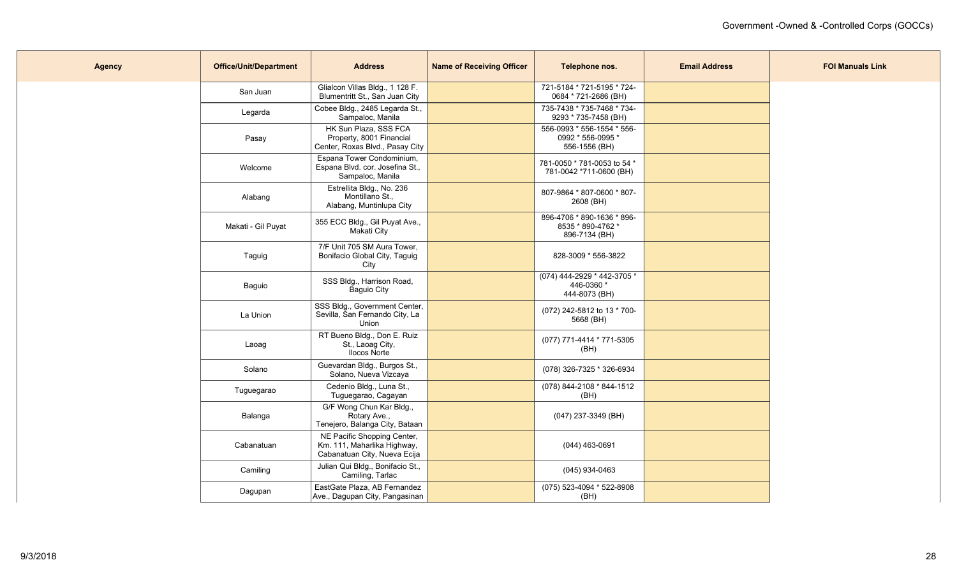| <b>Agency</b> | <b>Office/Unit/Department</b> | <b>Address</b>                                                                             | <b>Name of Receiving Officer</b> | Telephone nos.                                                   | <b>Email Address</b> | <b>FOI Manuals Link</b> |
|---------------|-------------------------------|--------------------------------------------------------------------------------------------|----------------------------------|------------------------------------------------------------------|----------------------|-------------------------|
|               | San Juan                      | Glialcon Villas Bldg., 1 128 F.<br>Blumentritt St., San Juan City                          |                                  | 721-5184 * 721-5195 * 724-<br>0684 * 721-2686 (BH)               |                      |                         |
|               | Legarda                       | Cobee Bldg., 2485 Legarda St.,<br>Sampaloc, Manila                                         |                                  | 735-7438 * 735-7468 * 734-<br>9293 * 735-7458 (BH)               |                      |                         |
|               | Pasay                         | HK Sun Plaza, SSS FCA<br>Property, 8001 Financial<br>Center, Roxas Blvd., Pasay City       |                                  | 556-0993 * 556-1554 * 556-<br>0992 * 556-0995 *<br>556-1556 (BH) |                      |                         |
|               | Welcome                       | Espana Tower Condominium,<br>Espana Blvd. cor. Josefina St.,<br>Sampaloc, Manila           |                                  | 781-0050 * 781-0053 to 54 *<br>781-0042 *711-0600 (BH)           |                      |                         |
|               | Alabang                       | Estrellita Bldg., No. 236<br>Montillano St.,<br>Alabang, Muntinlupa City                   |                                  | 807-9864 * 807-0600 * 807-<br>2608 (BH)                          |                      |                         |
|               | Makati - Gil Puyat            | 355 ECC Bldg., Gil Puyat Ave.,<br>Makati City                                              |                                  | 896-4706 * 890-1636 * 896-<br>8535 * 890-4762 *<br>896-7134 (BH) |                      |                         |
|               | Taguig                        | 7/F Unit 705 SM Aura Tower,<br>Bonifacio Global City, Taguig<br>City                       |                                  | 828-3009 * 556-3822                                              |                      |                         |
|               | Baguio                        | SSS Bldg., Harrison Road,<br>Baguio City                                                   |                                  | (074) 444-2929 * 442-3705 *<br>446-0360 *<br>444-8073 (BH)       |                      |                         |
|               | La Union                      | SSS Bldg., Government Center,<br>Sevilla, San Fernando City, La<br>Union                   |                                  | (072) 242-5812 to 13 * 700-<br>5668 (BH)                         |                      |                         |
|               | Laoag                         | RT Bueno Bldg., Don E. Ruiz<br>St., Laoag City,<br>Ilocos Norte                            |                                  | (077) 771-4414 * 771-5305<br>(BH)                                |                      |                         |
|               | Solano                        | Guevardan Bldg., Burgos St.,<br>Solano, Nueva Vizcaya                                      |                                  | (078) 326-7325 * 326-6934                                        |                      |                         |
|               | Tuguegarao                    | Cedenio Bldg., Luna St.,<br>Tuguegarao, Cagayan                                            |                                  | (078) 844-2108 * 844-1512<br>(BH)                                |                      |                         |
|               | Balanga                       | G/F Wong Chun Kar Bldg.,<br>Rotary Ave.,<br>Tenejero, Balanga City, Bataan                 |                                  | (047) 237-3349 (BH)                                              |                      |                         |
|               | Cabanatuan                    | NE Pacific Shopping Center,<br>Km. 111, Maharlika Highway,<br>Cabanatuan City, Nueva Ecija |                                  | (044) 463-0691                                                   |                      |                         |
|               | Camiling                      | Julian Qui Bldg., Bonifacio St.,<br>Camiling, Tarlac                                       |                                  | (045) 934-0463                                                   |                      |                         |
|               | Dagupan                       | EastGate Plaza, AB Fernandez<br>Ave., Dagupan City, Pangasinan                             |                                  | (075) 523-4094 * 522-8908<br>(BH)                                |                      |                         |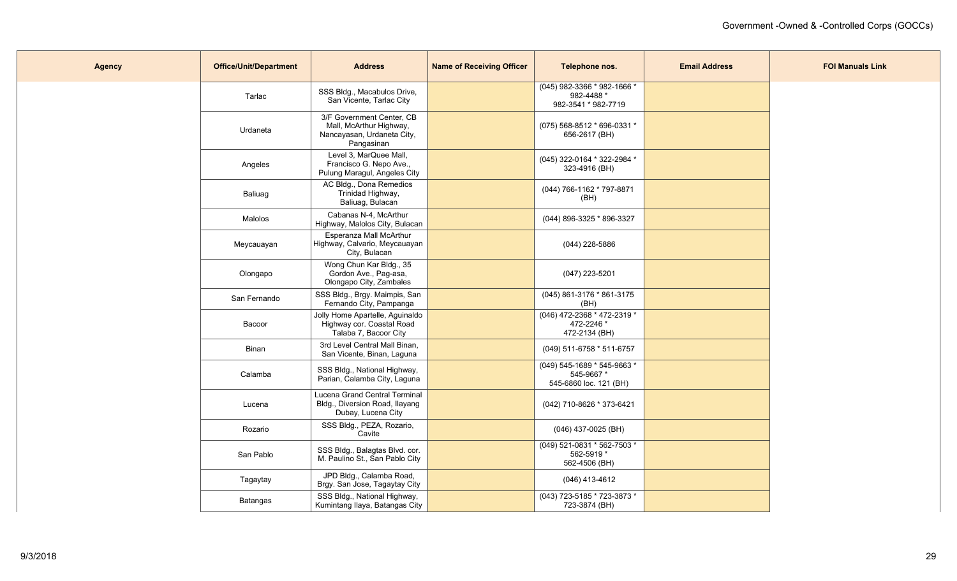| <b>Agency</b> | <b>Office/Unit/Department</b> | <b>Address</b>                                                                                   | <b>Name of Receiving Officer</b> | Telephone nos.                                                     | <b>Email Address</b> | <b>FOI Manuals Link</b> |
|---------------|-------------------------------|--------------------------------------------------------------------------------------------------|----------------------------------|--------------------------------------------------------------------|----------------------|-------------------------|
|               | Tarlac                        | SSS Bldg., Macabulos Drive,<br>San Vicente, Tarlac City                                          |                                  | (045) 982-3366 * 982-1666 *<br>982-4488 *<br>982-3541 * 982-7719   |                      |                         |
|               | Urdaneta                      | 3/F Government Center, CB<br>Mall, McArthur Highway,<br>Nancayasan, Urdaneta City,<br>Pangasinan |                                  | (075) 568-8512 * 696-0331 *<br>656-2617 (BH)                       |                      |                         |
|               | Angeles                       | Level 3, MarQuee Mall,<br>Francisco G. Nepo Ave.,<br>Pulung Maragul, Angeles City                |                                  | (045) 322-0164 * 322-2984 *<br>323-4916 (BH)                       |                      |                         |
|               | Baliuag                       | AC Bldg., Dona Remedios<br>Trinidad Highway,<br>Baliuag, Bulacan                                 |                                  | (044) 766-1162 * 797-8871<br>(BH)                                  |                      |                         |
|               | Malolos                       | Cabanas N-4, McArthur<br>Highway, Malolos City, Bulacan                                          |                                  | (044) 896-3325 * 896-3327                                          |                      |                         |
|               | Meycauayan                    | Esperanza Mall McArthur<br>Highway, Calvario, Meycauayan<br>City, Bulacan                        |                                  | (044) 228-5886                                                     |                      |                         |
|               | Olongapo                      | Wong Chun Kar Bldg., 35<br>Gordon Ave., Pag-asa,<br>Olongapo City, Zambales                      |                                  | (047) 223-5201                                                     |                      |                         |
|               | San Fernando                  | SSS Bldg., Brgy. Maimpis, San<br>Fernando City, Pampanga                                         |                                  | (045) 861-3176 * 861-3175<br>(BH)                                  |                      |                         |
|               | Bacoor                        | Jolly Home Apartelle, Aguinaldo<br>Highway cor. Coastal Road<br>Talaba 7, Bacoor City            |                                  | (046) 472-2368 * 472-2319 *<br>472-2246 *<br>472-2134 (BH)         |                      |                         |
|               | Binan                         | 3rd Level Central Mall Binan,<br>San Vicente, Binan, Laguna                                      |                                  | (049) 511-6758 * 511-6757                                          |                      |                         |
|               | Calamba                       | SSS Bldg., National Highway,<br>Parian, Calamba City, Laguna                                     |                                  | (049) 545-1689 * 545-9663 *<br>545-9667*<br>545-6860 loc. 121 (BH) |                      |                         |
|               | Lucena                        | Lucena Grand Central Terminal<br>Bldg., Diversion Road, Ilayang<br>Dubay, Lucena City            |                                  | (042) 710-8626 * 373-6421                                          |                      |                         |
|               | Rozario                       | SSS Bldg., PEZA, Rozario,<br>Cavite                                                              |                                  | (046) 437-0025 (BH)                                                |                      |                         |
|               | San Pablo                     | SSS Bldg., Balagtas Blvd. cor.<br>M. Paulino St., San Pablo City                                 |                                  | (049) 521-0831 * 562-7503 *<br>562-5919 *<br>562-4506 (BH)         |                      |                         |
|               | Tagaytay                      | JPD Bldg., Calamba Road,<br>Brgy. San Jose, Tagaytay City                                        |                                  | (046) 413-4612                                                     |                      |                         |
|               | Batangas                      | SSS Bldg., National Highway,<br>Kumintang Ilaya, Batangas City                                   |                                  | (043) 723-5185 * 723-3873 *<br>723-3874 (BH)                       |                      |                         |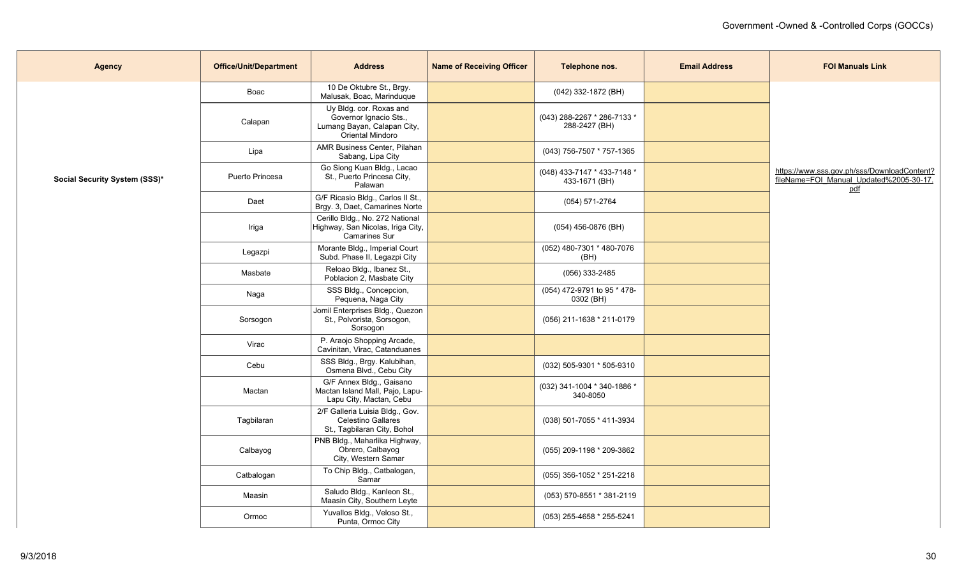| <b>Agency</b>                 | <b>Office/Unit/Department</b> | <b>Address</b>                                                                                       | <b>Name of Receiving Officer</b> | Telephone nos.                               | <b>Email Address</b> | <b>FOI Manuals Link</b>                                                                       |
|-------------------------------|-------------------------------|------------------------------------------------------------------------------------------------------|----------------------------------|----------------------------------------------|----------------------|-----------------------------------------------------------------------------------------------|
|                               | Boac                          | 10 De Oktubre St., Brgy.<br>Malusak, Boac, Marinduque                                                |                                  | (042) 332-1872 (BH)                          |                      |                                                                                               |
|                               | Calapan                       | Uy Bldg. cor. Roxas and<br>Governor Ignacio Sts.,<br>Lumang Bayan, Calapan City,<br>Oriental Mindoro |                                  | (043) 288-2267 * 286-7133 *<br>288-2427 (BH) |                      |                                                                                               |
|                               | Lipa                          | AMR Business Center, Pilahan<br>Sabang, Lipa City                                                    |                                  | (043) 756-7507 * 757-1365                    |                      |                                                                                               |
| Social Security System (SSS)* | Puerto Princesa               | Go Siong Kuan Bldg., Lacao<br>St., Puerto Princesa City,<br>Palawan                                  |                                  | (048) 433-7147 * 433-7148 *<br>433-1671 (BH) |                      | https://www.sss.gov.ph/sss/DownloadContent?<br>fileName=FOI_Manual_Updated%2005-30-17.<br>pdf |
|                               | Daet                          | G/F Ricasio Bldg., Carlos II St.,<br>Brgy. 3, Daet, Camarines Norte                                  |                                  | (054) 571-2764                               |                      |                                                                                               |
|                               | Iriga                         | Cerillo Bldg., No. 272 National<br>Highway, San Nicolas, Iriga City,<br><b>Camarines Sur</b>         |                                  | (054) 456-0876 (BH)                          |                      |                                                                                               |
|                               | Legazpi                       | Morante Bldg., Imperial Court<br>Subd. Phase II, Legazpi City                                        |                                  | (052) 480-7301 * 480-7076<br>(BH)            |                      |                                                                                               |
|                               | Masbate                       | Reloao Bldg., Ibanez St.,<br>Poblacion 2, Masbate City                                               |                                  | (056) 333-2485                               |                      |                                                                                               |
|                               | Naga                          | SSS Bldg., Concepcion,<br>Pequena, Naga City                                                         |                                  | (054) 472-9791 to 95 * 478-<br>0302 (BH)     |                      |                                                                                               |
|                               | Sorsogon                      | Jomil Enterprises Bldg., Quezon<br>St., Polvorista, Sorsogon,<br>Sorsogon                            |                                  | (056) 211-1638 * 211-0179                    |                      |                                                                                               |
|                               | Virac                         | P. Araojo Shopping Arcade,<br>Cavinitan, Virac, Catanduanes                                          |                                  |                                              |                      |                                                                                               |
|                               | Cebu                          | SSS Bldg., Brgy. Kalubihan,<br>Osmena Blvd., Cebu City                                               |                                  | (032) 505-9301 * 505-9310                    |                      |                                                                                               |
|                               | Mactan                        | G/F Annex Bldg., Gaisano<br>Mactan Island Mall, Pajo, Lapu-<br>Lapu City, Mactan, Cebu               |                                  | (032) 341-1004 * 340-1886 *<br>340-8050      |                      |                                                                                               |
|                               | Tagbilaran                    | 2/F Galleria Luisia Bldg., Gov.<br>Celestino Gallares<br>St., Tagbilaran City, Bohol                 |                                  | (038) 501-7055 * 411-3934                    |                      |                                                                                               |
|                               | Calbayog                      | PNB Bldg., Maharlika Highway,<br>Obrero, Calbayog<br>City, Western Samar                             |                                  | (055) 209-1198 * 209-3862                    |                      |                                                                                               |
|                               | Catbalogan                    | To Chip Bldg., Catbalogan,<br>Samar                                                                  |                                  | (055) 356-1052 * 251-2218                    |                      |                                                                                               |
|                               | Maasin                        | Saludo Bldg., Kanleon St.,<br>Maasin City, Southern Leyte                                            |                                  | (053) 570-8551 * 381-2119                    |                      |                                                                                               |
|                               | Ormoc                         | Yuvallos Bldg., Veloso St.,<br>Punta, Ormoc City                                                     |                                  | (053) 255-4658 * 255-5241                    |                      |                                                                                               |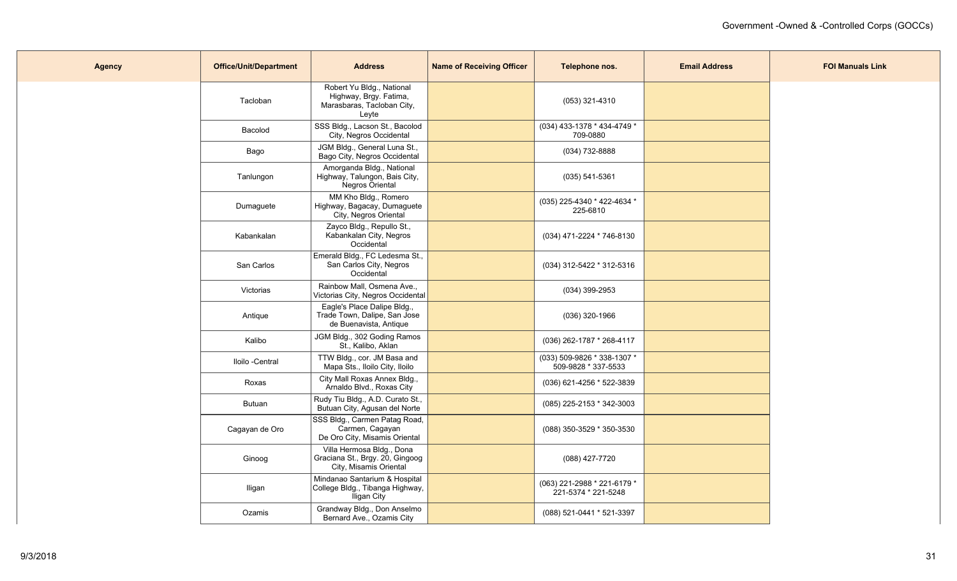| <b>Agency</b> | <b>Office/Unit/Department</b> | <b>Address</b>                                                                             | <b>Name of Receiving Officer</b> | Telephone nos.                                     | <b>Email Address</b> | <b>FOI Manuals Link</b> |
|---------------|-------------------------------|--------------------------------------------------------------------------------------------|----------------------------------|----------------------------------------------------|----------------------|-------------------------|
|               | Tacloban                      | Robert Yu Bldg., National<br>Highway, Brgy. Fatima,<br>Marasbaras, Tacloban City,<br>Leyte |                                  | (053) 321-4310                                     |                      |                         |
|               | Bacolod                       | SSS Bldg., Lacson St., Bacolod<br>City, Negros Occidental                                  |                                  | (034) 433-1378 * 434-4749 *<br>709-0880            |                      |                         |
|               | Bago                          | JGM Bldg., General Luna St.,<br>Bago City, Negros Occidental                               |                                  | (034) 732-8888                                     |                      |                         |
|               | Tanlungon                     | Amorganda Bldg., National<br>Highway, Talungon, Bais City,<br>Negros Oriental              |                                  | $(035) 541 - 5361$                                 |                      |                         |
|               | Dumaguete                     | MM Kho Bldg., Romero<br>Highway, Bagacay, Dumaguete<br>City, Negros Oriental               |                                  | (035) 225-4340 * 422-4634 *<br>225-6810            |                      |                         |
|               | Kabankalan                    | Zayco Bldg., Repullo St.,<br>Kabankalan City, Negros<br>Occidental                         |                                  | (034) 471-2224 * 746-8130                          |                      |                         |
|               | San Carlos                    | Emerald Bldg., FC Ledesma St.,<br>San Carlos City, Negros<br>Occidental                    |                                  | (034) 312-5422 * 312-5316                          |                      |                         |
|               | Victorias                     | Rainbow Mall, Osmena Ave.,<br>Victorias City, Negros Occidental                            |                                  | $(034)$ 399-2953                                   |                      |                         |
|               | Antique                       | Eagle's Place Dalipe Bldg.,<br>Trade Town, Dalipe, San Jose<br>de Buenavista, Antique      |                                  | $(036)$ 320-1966                                   |                      |                         |
|               | Kalibo                        | JGM Bldg., 302 Goding Ramos<br>St., Kalibo, Aklan                                          |                                  | (036) 262-1787 * 268-4117                          |                      |                         |
|               | Iloilo -Central               | TTW Bldg., cor. JM Basa and<br>Mapa Sts., Iloilo City, Iloilo                              |                                  | (033) 509-9826 * 338-1307 *<br>509-9828 * 337-5533 |                      |                         |
|               | Roxas                         | City Mall Roxas Annex Bldg.,<br>Arnaldo Blvd., Roxas City                                  |                                  | (036) 621-4256 * 522-3839                          |                      |                         |
|               | <b>Butuan</b>                 | Rudy Tiu Bldg., A.D. Curato St.,<br>Butuan City, Agusan del Norte                          |                                  | (085) 225-2153 * 342-3003                          |                      |                         |
|               | Cagayan de Oro                | SSS Bldg., Carmen Patag Road,<br>Carmen, Cagayan<br>De Oro City, Misamis Oriental          |                                  | (088) 350-3529 * 350-3530                          |                      |                         |
|               | Ginoog                        | Villa Hermosa Bldg., Dona<br>Graciana St., Brgy. 20, Gingoog<br>City, Misamis Oriental     |                                  | (088) 427-7720                                     |                      |                         |
|               | Iligan                        | Mindanao Santarium & Hospital<br>College Bldg., Tibanga Highway,<br>Iligan City            |                                  | (063) 221-2988 * 221-6179 *<br>221-5374 * 221-5248 |                      |                         |
|               | Ozamis                        | Grandway Bldg., Don Anselmo<br>Bernard Ave., Ozamis City                                   |                                  | (088) 521-0441 * 521-3397                          |                      |                         |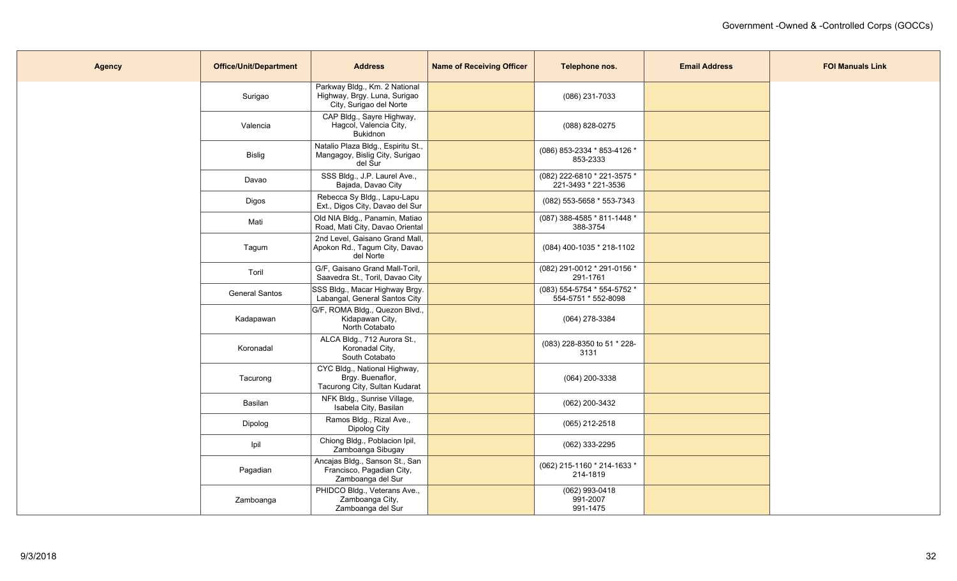| <b>Agency</b> | <b>Office/Unit/Department</b> | <b>Address</b>                                                                           | <b>Name of Receiving Officer</b> | Telephone nos.                                     | <b>Email Address</b> | <b>FOI Manuals Link</b> |
|---------------|-------------------------------|------------------------------------------------------------------------------------------|----------------------------------|----------------------------------------------------|----------------------|-------------------------|
|               | Surigao                       | Parkway Bldg., Km. 2 National<br>Highway, Brgy. Luna, Surigao<br>City, Surigao del Norte |                                  | (086) 231-7033                                     |                      |                         |
|               | Valencia                      | CAP Bldg., Sayre Highway,<br>Hagcol, Valencia City,<br><b>Bukidnon</b>                   |                                  | (088) 828-0275                                     |                      |                         |
|               | Bislig                        | Natalio Plaza Bldg., Espiritu St.,<br>Mangagoy, Bislig City, Surigao<br>del Sur          |                                  | (086) 853-2334 * 853-4126 *<br>853-2333            |                      |                         |
|               | Davao                         | SSS Bldg., J.P. Laurel Ave.,<br>Bajada, Davao City                                       |                                  | (082) 222-6810 * 221-3575 *<br>221-3493 * 221-3536 |                      |                         |
|               | Digos                         | Rebecca Sy Bldg., Lapu-Lapu<br>Ext., Digos City, Davao del Sur                           |                                  | (082) 553-5658 * 553-7343                          |                      |                         |
|               | Mati                          | Old NIA Bldg., Panamin, Matiao<br>Road, Mati City, Davao Oriental                        |                                  | (087) 388-4585 * 811-1448 *<br>388-3754            |                      |                         |
|               | Tagum                         | 2nd Level, Gaisano Grand Mall,<br>Apokon Rd., Tagum City, Davao<br>del Norte             |                                  | $(084)$ 400-1035 * 218-1102                        |                      |                         |
|               | Toril                         | G/F, Gaisano Grand Mall-Toril,<br>Saavedra St., Toril, Davao City                        |                                  | (082) 291-0012 * 291-0156 *<br>291-1761            |                      |                         |
|               | <b>General Santos</b>         | SSS Bldg., Macar Highway Brgy.<br>Labangal, General Santos City                          |                                  | (083) 554-5754 * 554-5752 *<br>554-5751 * 552-8098 |                      |                         |
|               | Kadapawan                     | G/F, ROMA Bldg., Quezon Blvd.,<br>Kidapawan City,<br>North Cotabato                      |                                  | (064) 278-3384                                     |                      |                         |
|               | Koronadal                     | ALCA Bldg., 712 Aurora St.,<br>Koronadal City,<br>South Cotabato                         |                                  | (083) 228-8350 to 51 * 228-<br>3131                |                      |                         |
|               | Tacurong                      | CYC Bldg., National Highway,<br>Brgy. Buenaflor,<br>Tacurong City, Sultan Kudarat        |                                  | (064) 200-3338                                     |                      |                         |
|               | Basilan                       | NFK Bldg., Sunrise Village,<br>Isabela City, Basilan                                     |                                  | (062) 200-3432                                     |                      |                         |
|               | Dipolog                       | Ramos Bldg., Rizal Ave.,<br>Dipolog City                                                 |                                  | (065) 212-2518                                     |                      |                         |
|               | Ipil                          | Chiong Bldg., Poblacion Ipil,<br>Zamboanga Sibugay                                       |                                  | (062) 333-2295                                     |                      |                         |
|               | Pagadian                      | Ancajas Bldg., Sanson St., San<br>Francisco, Pagadian City,<br>Zamboanga del Sur         |                                  | (062) 215-1160 * 214-1633 *<br>214-1819            |                      |                         |
|               | Zamboanga                     | PHIDCO Bldg., Veterans Ave.,<br>Zamboanga City,<br>Zamboanga del Sur                     |                                  | (062) 993-0418<br>991-2007<br>991-1475             |                      |                         |